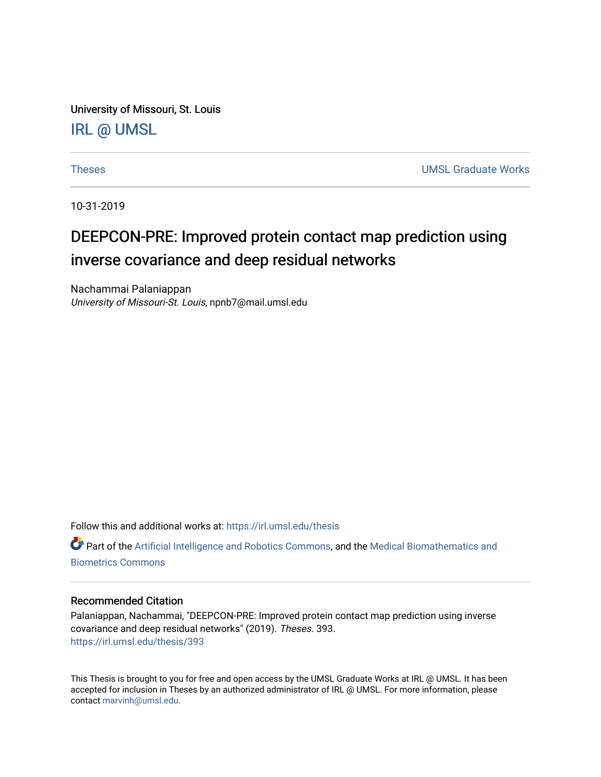University of Missouri, St. Louis [IRL @ UMSL](https://irl.umsl.edu/) 

[Theses](https://irl.umsl.edu/thesis) **UMSL Graduate Works** 

10-31-2019

## DEEPCON-PRE: Improved protein contact map prediction using inverse covariance and deep residual networks

Nachammai Palaniappan University of Missouri-St. Louis, npnb7@mail.umsl.edu

Follow this and additional works at: [https://irl.umsl.edu/thesis](https://irl.umsl.edu/thesis?utm_source=irl.umsl.edu%2Fthesis%2F393&utm_medium=PDF&utm_campaign=PDFCoverPages) 

Part of the [Artificial Intelligence and Robotics Commons](https://network.bepress.com/hgg/discipline/143?utm_source=irl.umsl.edu%2Fthesis%2F393&utm_medium=PDF&utm_campaign=PDFCoverPages), and the [Medical Biomathematics and](https://network.bepress.com/hgg/discipline/667?utm_source=irl.umsl.edu%2Fthesis%2F393&utm_medium=PDF&utm_campaign=PDFCoverPages)  [Biometrics Commons](https://network.bepress.com/hgg/discipline/667?utm_source=irl.umsl.edu%2Fthesis%2F393&utm_medium=PDF&utm_campaign=PDFCoverPages)

#### Recommended Citation

Palaniappan, Nachammai, "DEEPCON-PRE: Improved protein contact map prediction using inverse covariance and deep residual networks" (2019). Theses. 393. [https://irl.umsl.edu/thesis/393](https://irl.umsl.edu/thesis/393?utm_source=irl.umsl.edu%2Fthesis%2F393&utm_medium=PDF&utm_campaign=PDFCoverPages) 

This Thesis is brought to you for free and open access by the UMSL Graduate Works at IRL @ UMSL. It has been accepted for inclusion in Theses by an authorized administrator of IRL @ UMSL. For more information, please contact [marvinh@umsl.edu.](mailto:marvinh@umsl.edu)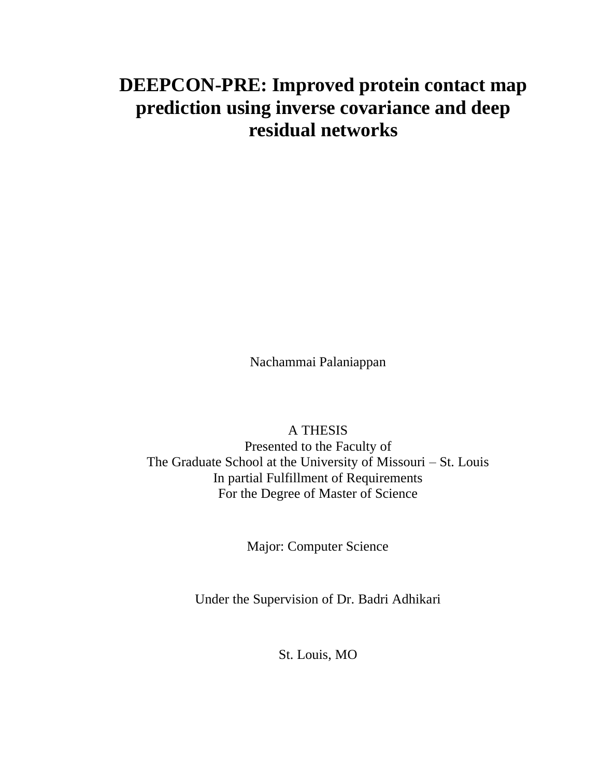## **DEEPCON-PRE: Improved protein contact map prediction using inverse covariance and deep residual networks**

Nachammai Palaniappan

#### A THESIS

Presented to the Faculty of The Graduate School at the University of Missouri – St. Louis In partial Fulfillment of Requirements For the Degree of Master of Science

Major: Computer Science

Under the Supervision of Dr. Badri Adhikari

St. Louis, MO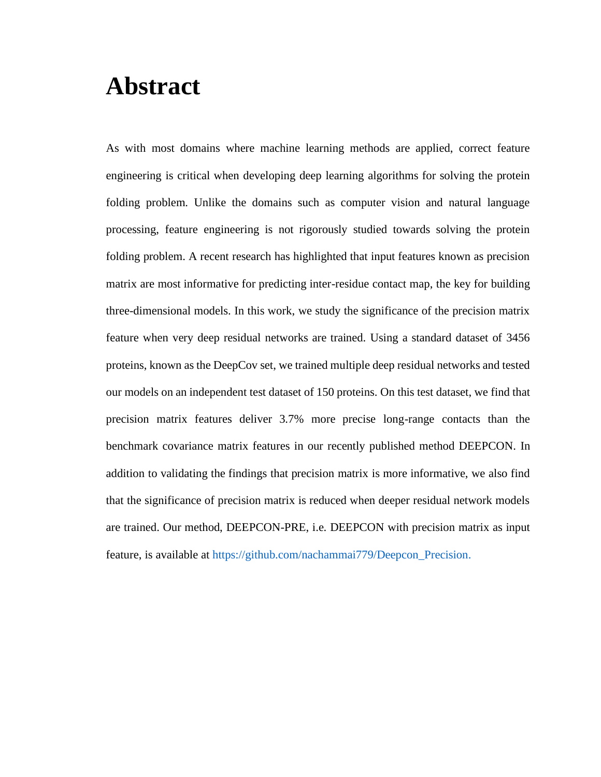## **Abstract**

As with most domains where machine learning methods are applied, correct feature engineering is critical when developing deep learning algorithms for solving the protein folding problem. Unlike the domains such as computer vision and natural language processing, feature engineering is not rigorously studied towards solving the protein folding problem. A recent research has highlighted that input features known as precision matrix are most informative for predicting inter-residue contact map, the key for building three-dimensional models. In this work, we study the significance of the precision matrix feature when very deep residual networks are trained. Using a standard dataset of 3456 proteins, known as the DeepCov set, we trained multiple deep residual networks and tested our models on an independent test dataset of 150 proteins. On this test dataset, we find that precision matrix features deliver 3.7% more precise long-range contacts than the benchmark covariance matrix features in our recently published method DEEPCON. In addition to validating the findings that precision matrix is more informative, we also find that the significance of precision matrix is reduced when deeper residual network models are trained. Our method, DEEPCON-PRE, i.e. DEEPCON with precision matrix as input feature, is available at [https://github.com/nachammai779/Deepcon\\_Precision.](https://github.com/nachammai779/Deepcon_Precision)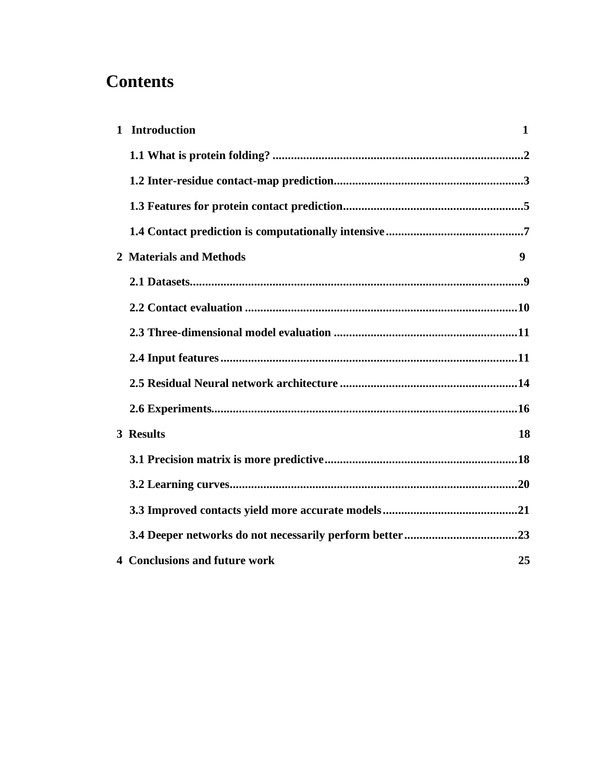## **Contents**

| 1 Introduction                       | 1  |
|--------------------------------------|----|
|                                      |    |
|                                      |    |
|                                      |    |
|                                      |    |
| 2 Materials and Methods              | 9  |
|                                      |    |
|                                      |    |
|                                      |    |
|                                      |    |
|                                      |    |
|                                      |    |
| 3 Results                            | 18 |
|                                      |    |
|                                      |    |
|                                      |    |
|                                      |    |
| <b>4 Conclusions and future work</b> | 25 |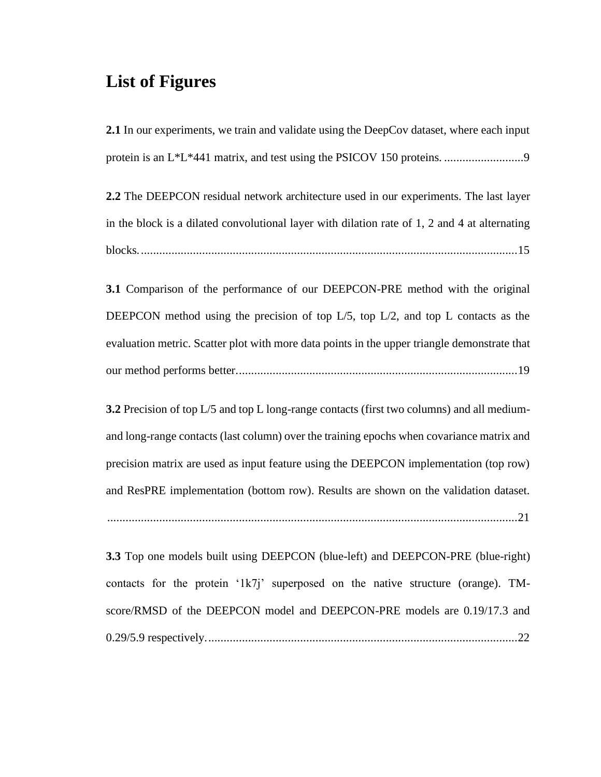#### **List of Figures**

**2.1** [In our experiments, we train and validate using the DeepCov dataset, where each input](#page-15-2)  [protein is an L\\*L\\*441 matrix, and test using the PSICOV 150 proteins.](#page-15-2) ..........................9

**2.2** [The DEEPCON residual network architecture used in our experiments. The last](#page-21-0) layer [in the block is a dilated convolutional layer with dilation rate of 1, 2 and 4 at alternating](#page-21-0)  [blocks............................................................................................................................15](#page-21-0)

**3.1** [Comparison of the performance of our DEEPCON-PRE method with the original](#page-25-0)  DEEPCON method using the precision of top  $L/5$ , top  $L/2$ , and top L contacts as the [evaluation metric. Scatter plot with more data points in the upper triangle demonstrate that](#page-25-0)  [our method performs better............................................................................................19](#page-25-0)

**3.2** [Precision of top L/5 and top L long-range contacts \(first two columns\) and all medium](#page-27-1)[and long-range contacts \(last column\) over the training epochs when covariance matrix and](#page-27-1)  [precision matrix are used as input feature using the DEEPCON implementation \(top row\)](#page-27-1)  [and ResPRE implementation \(bottom row\). Results are shown on the validation dataset.](#page-27-1) [......................................................................................................................................21](#page-27-1)

**3.3** [Top one models built using DEEPCON \(blue-left\) and DEEPCON-PRE \(blue-right\)](#page-28-0)  [contacts for the protein '1k7j' superposed on the native structure \(orange\). TM](#page-28-0)[score/RMSD of the DEEPCON model and DEEPCON-PRE models are 0.19/17.3 and](#page-28-0)  [0.29/5.9 respectively......................................................................................................22](#page-28-0)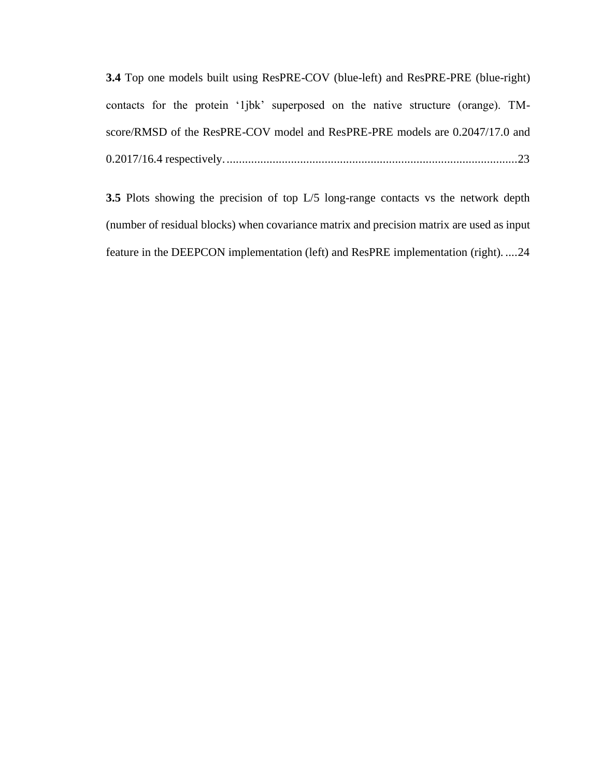**3.4** [Top one models built using ResPRE-COV \(blue-left\) and ResPRE-PRE \(blue-right\)](#page-29-1)  [contacts for the protein '1jbk' superposed on the native structure \(orange\). TM](#page-29-1)[score/RMSD of the ResPRE-COV model and ResPRE-PRE models are 0.2047/17.0 and](#page-29-1)  0.2017/16.4 respectively. [...............................................................................................23](#page-29-1)

**3.5** [Plots showing the precision of top L/5 long-range contacts vs the network depth](#page-30-0)  [\(number of residual blocks\) when covariance matrix and precision matrix are used as input](#page-30-0)  [feature in the DEEPCON implementation \(left\) and ResPRE implementation \(right\).](#page-30-0) ....24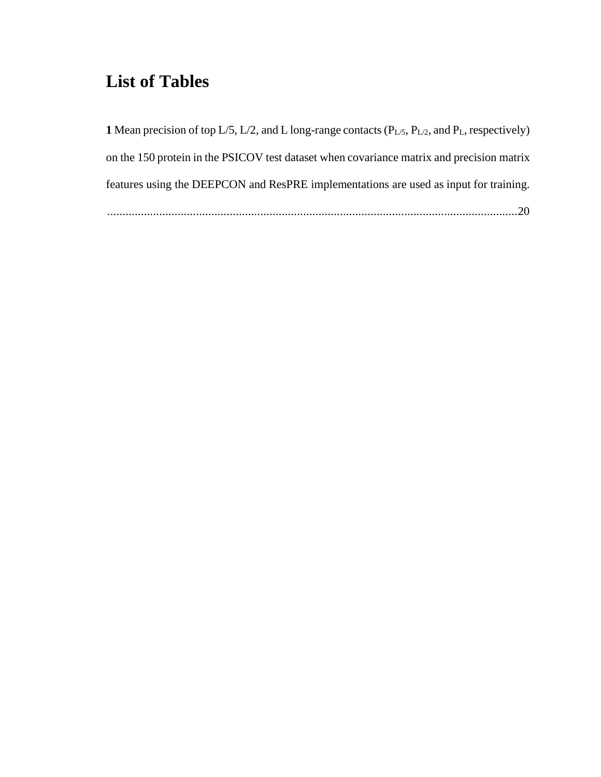## **List of Tables**

| 1 Mean precision of top L/5, L/2, and L long-range contacts $(P_{L/5}, P_{L/2},$ and $P_L$ , respectively) |
|------------------------------------------------------------------------------------------------------------|
| on the 150 protein in the PSICOV test dataset when covariance matrix and precision matrix                  |
| features using the DEEPCON and ResPRE implementations are used as input for training.                      |
| 20                                                                                                         |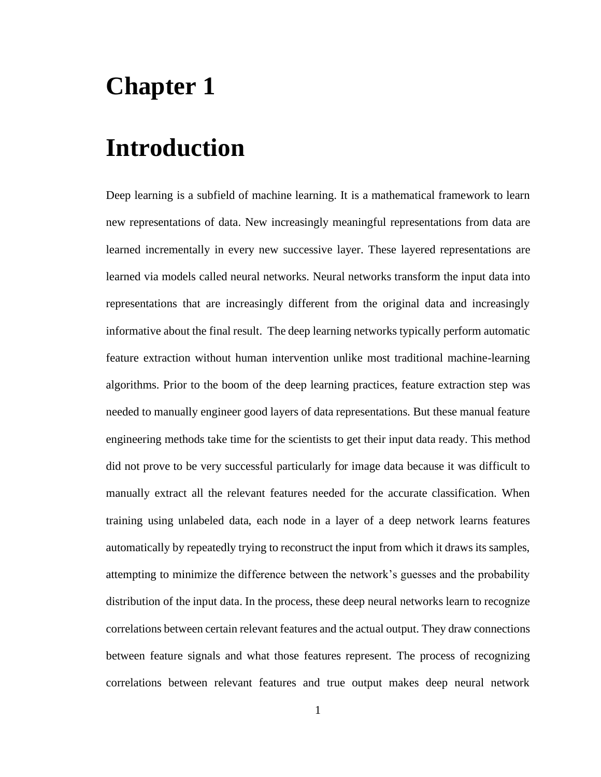## <span id="page-7-0"></span>**Chapter 1**

## **Introduction**

Deep learning is a subfield of machine learning. It is a mathematical framework to learn new representations of data. New increasingly meaningful representations from data are learned incrementally in every new successive layer. These layered representations are learned via models called neural networks. Neural networks transform the input data into representations that are increasingly different from the original data and increasingly informative about the final result. The deep learning networks typically perform automatic feature extraction without human intervention unlike most traditional machine-learning algorithms. Prior to the boom of the deep learning practices, feature extraction step was needed to manually engineer good layers of data representations. But these manual feature engineering methods take time for the scientists to get their input data ready. This method did not prove to be very successful particularly for image data because it was difficult to manually extract all the relevant features needed for the accurate classification. When training using unlabeled data, each node in a layer of a deep network learns features automatically by repeatedly trying to reconstruct the input from which it draws its samples, attempting to minimize the difference between the network's guesses and the probability distribution of the input data. In the process, these deep neural networks learn to recognize correlations between certain relevant features and the actual output. They draw connections between feature signals and what those features represent. The process of recognizing correlations between relevant features and true output makes deep neural network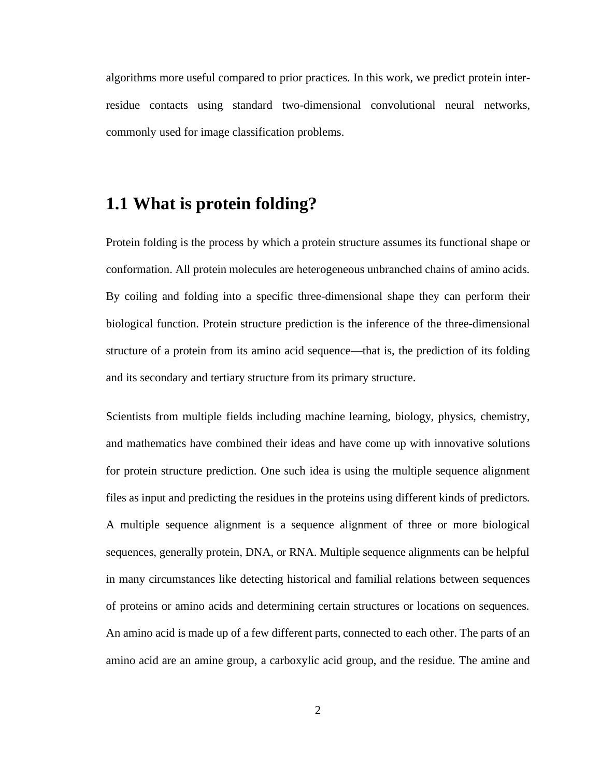algorithms more useful compared to prior practices. In this work, we predict protein interresidue contacts using standard two-dimensional convolutional neural networks, commonly used for image classification problems.

#### <span id="page-8-0"></span>**1.1 What is protein folding?**

Protein folding is the process by which a protein structure assumes its functional shape or conformation. All protein molecules are heterogeneous unbranched chains of amino acids. By coiling and folding into a specific three-dimensional shape they can perform their biological function. Protein structure prediction is the inference of the three-dimensional structure of a protein from its amino acid sequence—that is, the prediction of its folding and its secondary and tertiary structure from its primary structure.

Scientists from multiple fields including machine learning, biology, physics, chemistry, and mathematics have combined their ideas and have come up with innovative solutions for protein structure prediction. One such idea is using the multiple sequence alignment files as input and predicting the residues in the proteins using different kinds of predictors. A multiple sequence alignment is a sequence alignment of three or more biological sequences, generally protein, DNA, or RNA. Multiple sequence alignments can be helpful in many circumstances like detecting historical and familial relations between sequences of proteins or amino acids and determining certain structures or locations on sequences. An amino acid is made up of a few different parts, connected to each other. The parts of an amino acid are an amine group, a carboxylic acid group, and the residue. The amine and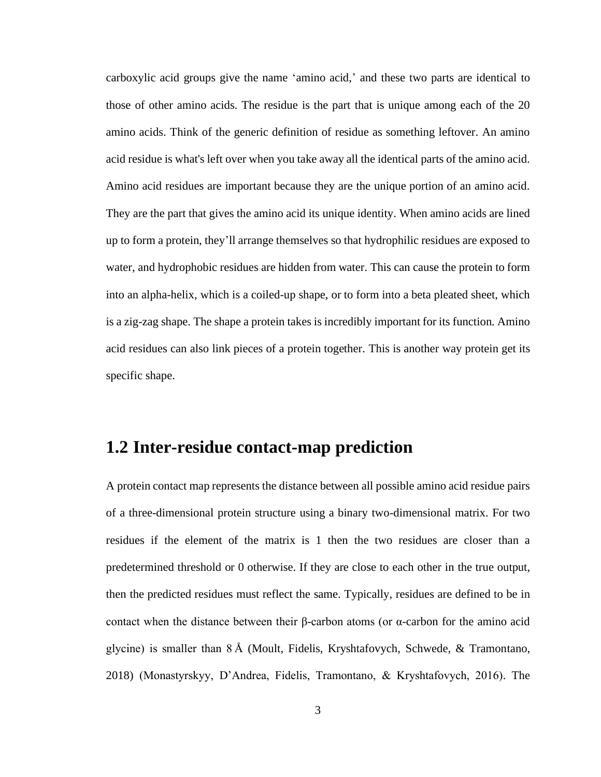carboxylic acid groups give the name 'amino acid,' and these two parts are identical to those of other amino acids. The residue is the part that is unique among each of the 20 amino acids. Think of the generic definition of residue as something leftover. An amino acid residue is what's left over when you take away all the identical parts of the amino acid. Amino acid residues are important because they are the unique portion of an amino acid. They are the part that gives the amino acid its unique identity. When amino acids are lined up to form a protein, they'll arrange themselves so that hydrophilic residues are exposed to water, and hydrophobic residues are hidden from water. This can cause the protein to form into an alpha-helix, which is a coiled-up shape, or to form into a beta pleated sheet, which is a zig-zag shape. The shape a protein takes is incredibly important for its function. Amino acid residues can also link pieces of a protein together. This is another way protein get its specific shape.

#### <span id="page-9-0"></span>**1.2 Inter-residue contact-map prediction**

A protein contact map represents the distance between all possible amino acid residue pairs of a three-dimensional protein structure using a binary two-dimensional matrix. For two residues if the element of the matrix is 1 then the two residues are closer than a predetermined threshold or 0 otherwise. If they are close to each other in the true output, then the predicted residues must reflect the same. Typically, residues are defined to be in contact when the distance between their β-carbon atoms (or α-carbon for the amino acid glycine) is smaller than 8 Å (Moult, Fidelis, Kryshtafovych, Schwede, & Tramontano, 2018) (Monastyrskyy, D'Andrea, Fidelis, Tramontano, & Kryshtafovych, 2016). The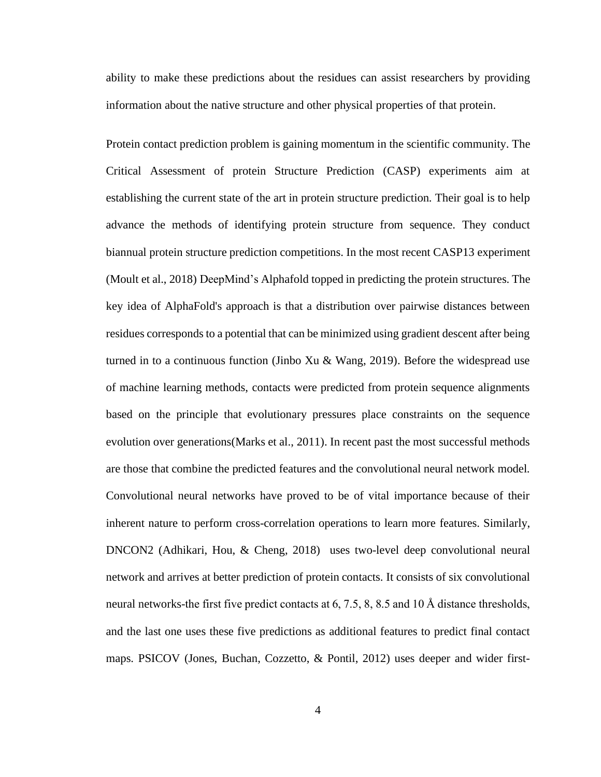ability to make these predictions about the residues can assist researchers by providing information about the native structure and other physical properties of that protein.

Protein contact prediction problem is gaining momentum in the scientific community. The Critical Assessment of protein Structure Prediction (CASP) experiments aim at establishing the current state of the art in protein structure prediction. Their goal is to help advance the methods of identifying protein structure from sequence. They conduct biannual protein structure prediction competitions. In the most recent CASP13 experiment (Moult et al., 2018) DeepMind's Alphafold topped in predicting the protein structures. The key idea of AlphaFold's approach is that a distribution over pairwise distances between residues corresponds to a potential that can be minimized using gradient descent after being turned in to a continuous function (Jinbo Xu & Wang, 2019). Before the widespread use of machine learning methods, contacts were predicted from protein sequence alignments based on the principle that evolutionary pressures place constraints on the sequence evolution over generations(Marks et al., 2011). In recent past the most successful methods are those that combine the predicted features and the convolutional neural network model. Convolutional neural networks have proved to be of vital importance because of their inherent nature to perform cross-correlation operations to learn more features. Similarly, DNCON2 (Adhikari, Hou, & Cheng, 2018) uses two-level deep convolutional neural network and arrives at better prediction of protein contacts. It consists of six convolutional neural networks-the first five predict contacts at 6, 7.5, 8, 8.5 and 10 Å distance thresholds, and the last one uses these five predictions as additional features to predict final contact maps. PSICOV (Jones, Buchan, Cozzetto, & Pontil, 2012) uses deeper and wider first-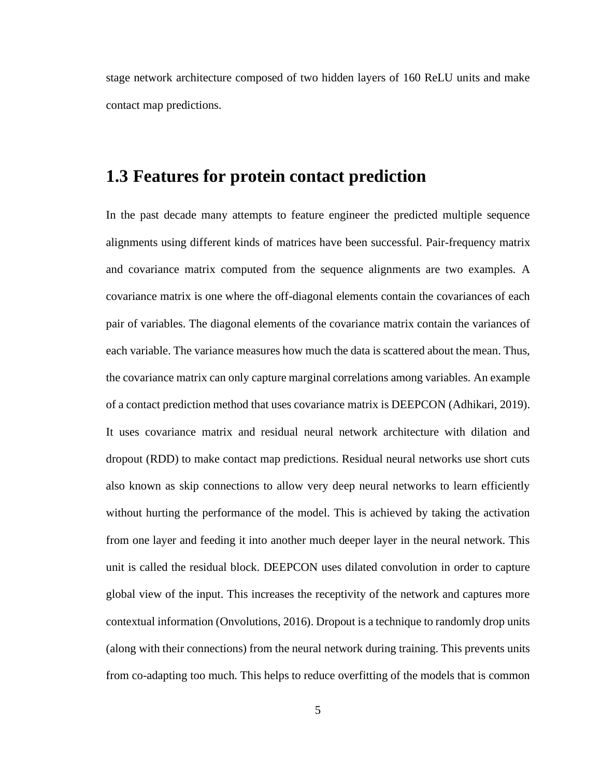stage network architecture composed of two hidden layers of 160 ReLU units and make contact map predictions.

#### <span id="page-11-0"></span>**1.3 Features for protein contact prediction**

In the past decade many attempts to feature engineer the predicted multiple sequence alignments using different kinds of matrices have been successful. Pair-frequency matrix and covariance matrix computed from the sequence alignments are two examples. A covariance matrix is one where the off-diagonal elements contain the covariances of each pair of variables. The diagonal elements of the covariance matrix contain the variances of each variable. The variance measures how much the data is scattered about the mean. Thus, the covariance matrix can only capture marginal correlations among variables. An example of a contact prediction method that uses covariance matrix is DEEPCON (Adhikari, 2019). It uses covariance matrix and residual neural network architecture with dilation and dropout (RDD) to make contact map predictions. Residual neural networks use short cuts also known as skip connections to allow very deep neural networks to learn efficiently without hurting the performance of the model. This is achieved by taking the activation from one layer and feeding it into another much deeper layer in the neural network. This unit is called the residual block. DEEPCON uses dilated convolution in order to capture global view of the input. This increases the receptivity of the network and captures more contextual information (Onvolutions, 2016). Dropout is a technique to randomly drop units (along with their connections) from the neural network during training. This prevents units from co-adapting too much. This helps to reduce overfitting of the models that is common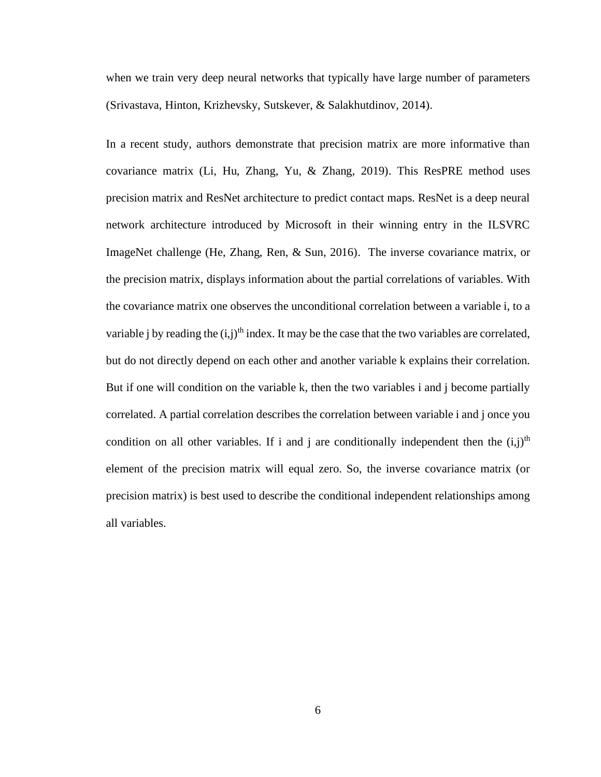when we train very deep neural networks that typically have large number of parameters (Srivastava, Hinton, Krizhevsky, Sutskever, & Salakhutdinov, 2014).

In a recent study, authors demonstrate that precision matrix are more informative than covariance matrix (Li, Hu, Zhang, Yu, & Zhang, 2019). This ResPRE method uses precision matrix and ResNet architecture to predict contact maps. ResNet is a deep neural network architecture introduced by Microsoft in their winning entry in the ILSVRC ImageNet challenge (He, Zhang, Ren, & Sun, 2016). The inverse covariance matrix, or the precision matrix, displays information about the partial correlations of variables. With the covariance matrix one observes the unconditional correlation between a variable i, to a variable j by reading the  $(i,j)$ <sup>th</sup> index. It may be the case that the two variables are correlated, but do not directly depend on each other and another variable k explains their correlation. But if one will condition on the variable k, then the two variables i and j become partially correlated. A partial correlation describes the correlation between variable i and j once you condition on all other variables. If i and j are conditionally independent then the  $(i,j)$ <sup>th</sup> element of the precision matrix will equal zero. So, the inverse covariance matrix (or precision matrix) is best used to describe the conditional independent relationships among all variables.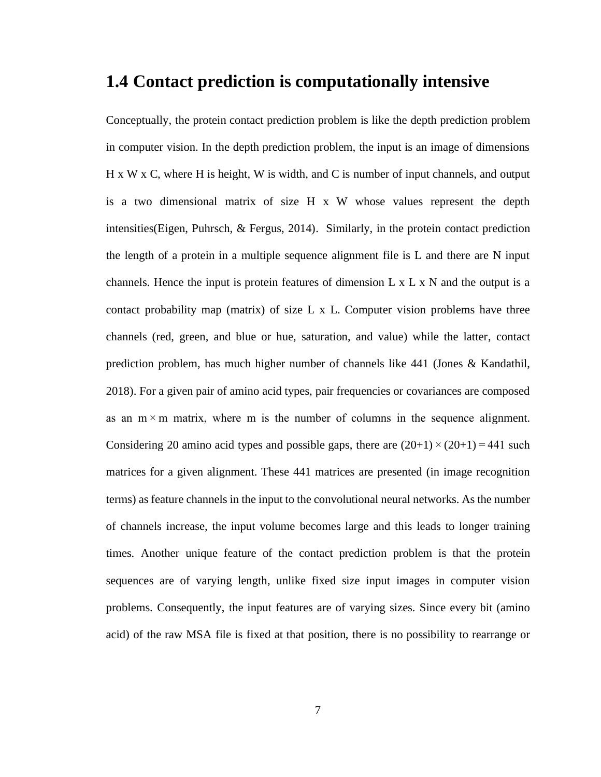#### <span id="page-13-0"></span>**1.4 Contact prediction is computationally intensive**

Conceptually, the protein contact prediction problem is like the depth prediction problem in computer vision. In the depth prediction problem, the input is an image of dimensions H x W x C, where H is height, W is width, and C is number of input channels, and output is a two dimensional matrix of size H x W whose values represent the depth intensities(Eigen, Puhrsch, & Fergus, 2014). Similarly, in the protein contact prediction the length of a protein in a multiple sequence alignment file is L and there are N input channels. Hence the input is protein features of dimension  $L \times L \times N$  and the output is a contact probability map (matrix) of size L x L. Computer vision problems have three channels (red, green, and blue or hue, saturation, and value) while the latter, contact prediction problem, has much higher number of channels like 441 (Jones & Kandathil, 2018). For a given pair of amino acid types, pair frequencies or covariances are composed as an  $m \times m$  matrix, where m is the number of columns in the sequence alignment. Considering 20 amino acid types and possible gaps, there are  $(20+1) \times (20+1) = 441$  such matrices for a given alignment. These 441 matrices are presented (in image recognition terms) as feature channels in the input to the convolutional neural networks. As the number of channels increase, the input volume becomes large and this leads to longer training times. Another unique feature of the contact prediction problem is that the protein sequences are of varying length, unlike fixed size input images in computer vision problems. Consequently, the input features are of varying sizes. Since every bit (amino acid) of the raw MSA file is fixed at that position, there is no possibility to rearrange or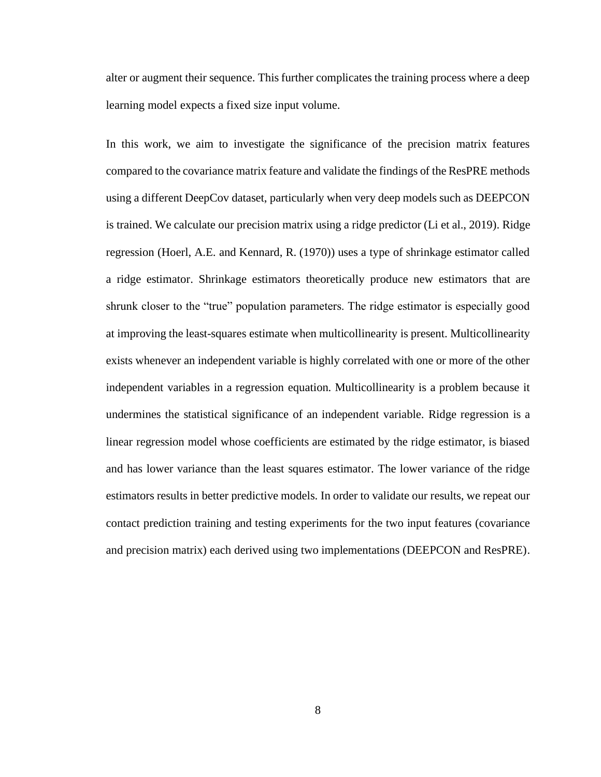alter or augment their sequence. This further complicates the training process where a deep learning model expects a fixed size input volume.

In this work, we aim to investigate the significance of the precision matrix features compared to the covariance matrix feature and validate the findings of the ResPRE methods using a different DeepCov dataset, particularly when very deep models such as DEEPCON is trained. We calculate our precision matrix using a ridge predictor (Li et al., 2019). Ridge regression (Hoerl, A.E. and Kennard, R. (1970)) uses a type of shrinkage estimator called a ridge estimator. Shrinkage estimators theoretically produce new estimators that are shrunk closer to the "true" population parameters. The ridge estimator is especially good at improving the least-squares estimate when multicollinearity is present. Multicollinearity exists whenever an independent variable is highly correlated with one or more of the other independent variables in a regression equation. Multicollinearity is a problem because it undermines the statistical significance of an independent variable. Ridge regression is a linear regression model whose coefficients are estimated by the ridge estimator, is biased and has lower variance than the least squares estimator. The lower variance of the ridge estimators results in better predictive models. In order to validate our results, we repeat our contact prediction training and testing experiments for the two input features (covariance and precision matrix) each derived using two implementations (DEEPCON and ResPRE).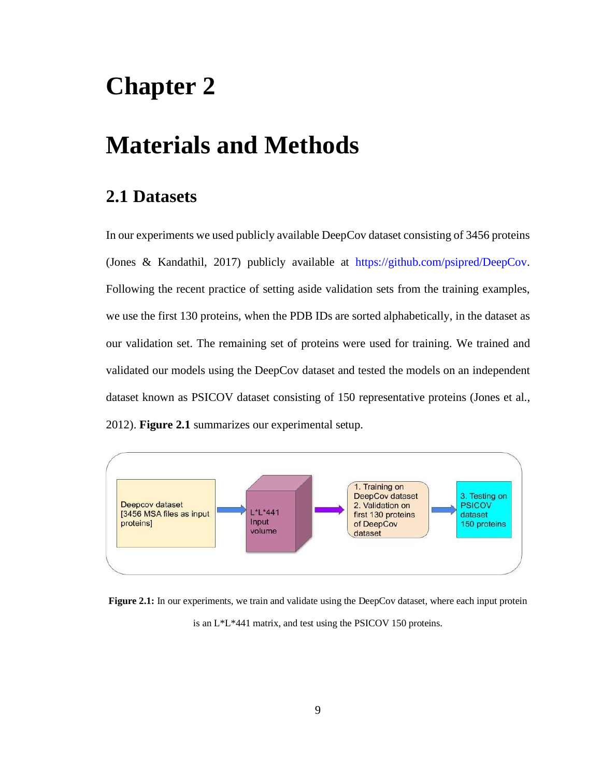## **Chapter 2**

## <span id="page-15-0"></span>**Materials and Methods**

#### <span id="page-15-1"></span>**2.1 Datasets**

In our experiments we used publicly available DeepCov dataset consisting of 3456 proteins (Jones & Kandathil, 2017) publicly available at https://github.com/psipred/DeepCov. Following the recent practice of setting aside validation sets from the training examples, we use the first 130 proteins, when the PDB IDs are sorted alphabetically, in the dataset as our validation set. The remaining set of proteins were used for training. We trained and validated our models using the DeepCov dataset and tested the models on an independent dataset known as PSICOV dataset consisting of 150 representative proteins (Jones et al., 2012). **Figure 2.1** summarizes our experimental setup.



<span id="page-15-2"></span>**Figure 2.1:** In our experiments, we train and validate using the DeepCov dataset, where each input protein is an L\*L\*441 matrix, and test using the PSICOV 150 proteins.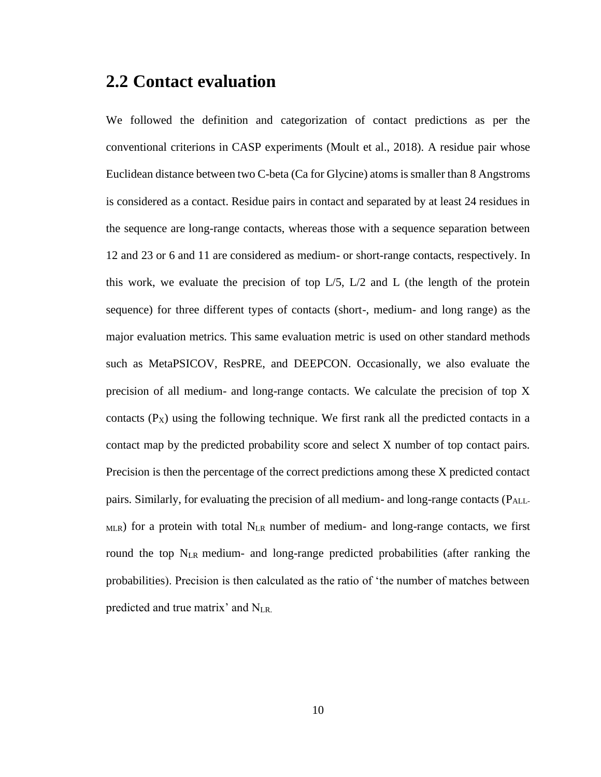#### <span id="page-16-0"></span>**2.2 Contact evaluation**

We followed the definition and categorization of contact predictions as per the conventional criterions in CASP experiments (Moult et al., 2018). A residue pair whose Euclidean distance between two C-beta (Ca for Glycine) atoms is smaller than 8 Angstroms is considered as a contact. Residue pairs in contact and separated by at least 24 residues in the sequence are long-range contacts, whereas those with a sequence separation between 12 and 23 or 6 and 11 are considered as medium- or short-range contacts, respectively. In this work, we evaluate the precision of top  $L/5$ ,  $L/2$  and L (the length of the protein sequence) for three different types of contacts (short-, medium- and long range) as the major evaluation metrics. This same evaluation metric is used on other standard methods such as MetaPSICOV, ResPRE, and DEEPCON. Occasionally, we also evaluate the precision of all medium- and long-range contacts. We calculate the precision of top X contacts  $(P_X)$  using the following technique. We first rank all the predicted contacts in a contact map by the predicted probability score and select X number of top contact pairs. Precision is then the percentage of the correct predictions among these X predicted contact pairs. Similarly, for evaluating the precision of all medium- and long-range contacts (PALL- $_{\text{MLR}}$ ) for a protein with total N<sub>LR</sub> number of medium- and long-range contacts, we first round the top NLR medium- and long-range predicted probabilities (after ranking the probabilities). Precision is then calculated as the ratio of 'the number of matches between predicted and true matrix' and NLR.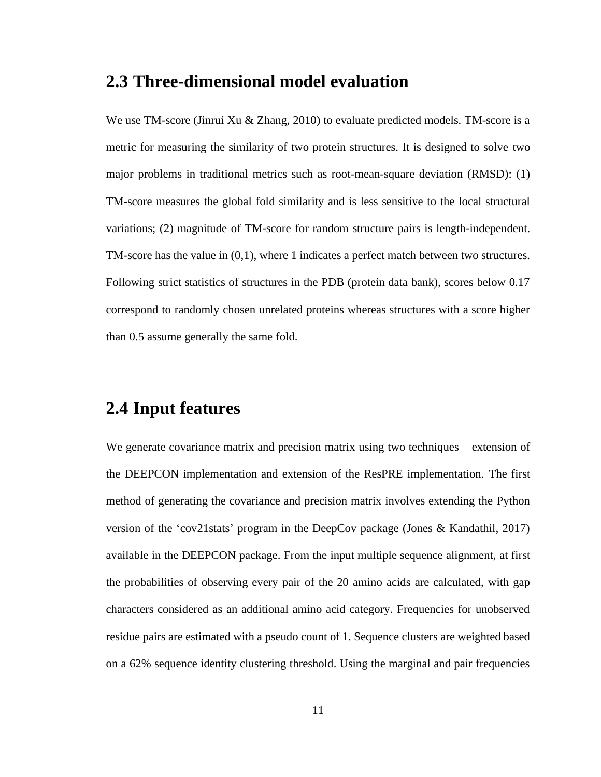#### <span id="page-17-0"></span>**2.3 Three-dimensional model evaluation**

We use TM-score (Jinrui Xu & Zhang, 2010) to evaluate predicted models. TM-score is a metric for measuring the similarity of two protein structures. It is designed to solve two major problems in traditional metrics such as root-mean-square deviation (RMSD): (1) TM-score measures the global fold similarity and is less sensitive to the local structural variations; (2) magnitude of TM-score for random structure pairs is length-independent. TM-score has the value in  $(0,1)$ , where 1 indicates a perfect match between two structures. Following strict statistics of structures in the PDB (protein data bank), scores below 0.17 correspond to randomly chosen unrelated proteins whereas structures with a score higher than 0.5 assume generally the same fold.

#### <span id="page-17-1"></span>**2.4 Input features**

We generate covariance matrix and precision matrix using two techniques – extension of the DEEPCON implementation and extension of the ResPRE implementation. The first method of generating the covariance and precision matrix involves extending the Python version of the 'cov21stats' program in the DeepCov package (Jones & Kandathil, 2017) available in the DEEPCON package. From the input multiple sequence alignment, at first the probabilities of observing every pair of the 20 amino acids are calculated, with gap characters considered as an additional amino acid category. Frequencies for unobserved residue pairs are estimated with a pseudo count of 1. Sequence clusters are weighted based on a 62% sequence identity clustering threshold. Using the marginal and pair frequencies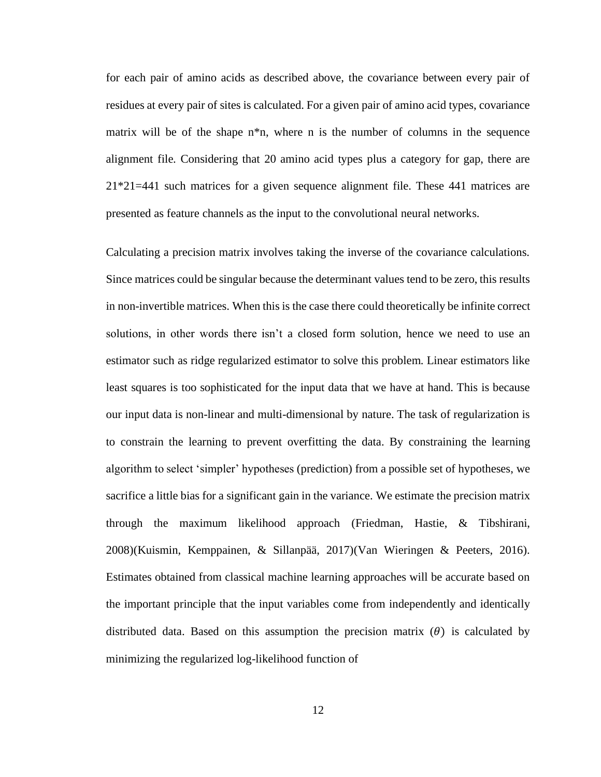for each pair of amino acids as described above, the covariance between every pair of residues at every pair of sites is calculated. For a given pair of amino acid types, covariance matrix will be of the shape  $n^*n$ , where n is the number of columns in the sequence alignment file. Considering that 20 amino acid types plus a category for gap, there are 21\*21=441 such matrices for a given sequence alignment file. These 441 matrices are presented as feature channels as the input to the convolutional neural networks.

Calculating a precision matrix involves taking the inverse of the covariance calculations. Since matrices could be singular because the determinant values tend to be zero, this results in non-invertible matrices. When this is the case there could theoretically be infinite correct solutions, in other words there isn't a closed form solution, hence we need to use an estimator such as ridge regularized estimator to solve this problem. Linear estimators like least squares is too sophisticated for the input data that we have at hand. This is because our input data is non-linear and multi-dimensional by nature. The task of regularization is to constrain the learning to prevent overfitting the data. By constraining the learning algorithm to select 'simpler' hypotheses (prediction) from a possible set of hypotheses, we sacrifice a little bias for a significant gain in the variance. We estimate the precision matrix through the maximum likelihood approach (Friedman, Hastie, & Tibshirani, 2008)(Kuismin, Kemppainen, & Sillanpää, 2017)(Van Wieringen & Peeters, 2016). Estimates obtained from classical machine learning approaches will be accurate based on the important principle that the input variables come from independently and identically distributed data. Based on this assumption the precision matrix  $(\theta)$  is calculated by minimizing the regularized log-likelihood function of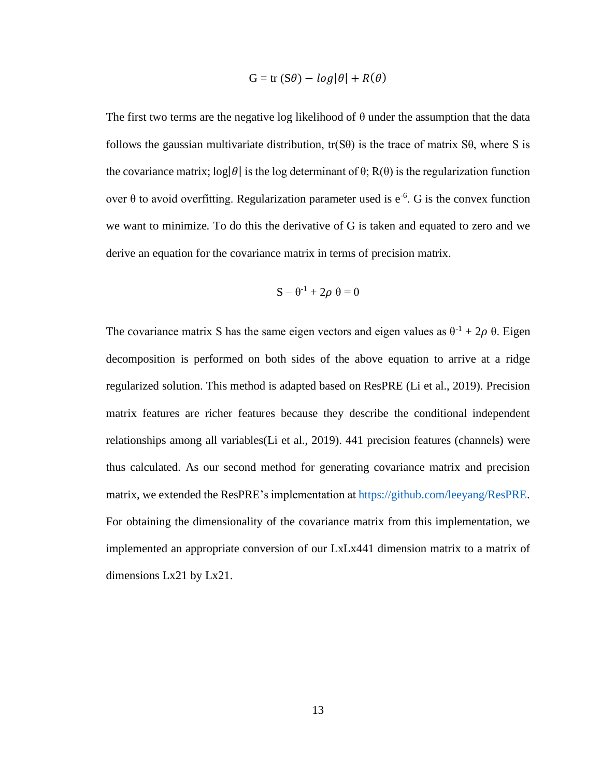$$
G = \text{tr}(S\theta) - log|\theta| + R(\theta)
$$

The first two terms are the negative log likelihood of  $\theta$  under the assumption that the data follows the gaussian multivariate distribution,  $tr(S\theta)$  is the trace of matrix  $S\theta$ , where S is the covariance matrix;  $log|\theta|$  is the log determinant of  $\theta$ ; R( $\theta$ ) is the regularization function over  $\theta$  to avoid overfitting. Regularization parameter used is  $e^{-6}$ . G is the convex function we want to minimize. To do this the derivative of G is taken and equated to zero and we derive an equation for the covariance matrix in terms of precision matrix.

$$
S - \theta^{-1} + 2\rho \theta = 0
$$

The covariance matrix S has the same eigen vectors and eigen values as  $\theta^{-1} + 2\rho \theta$ . Eigen decomposition is performed on both sides of the above equation to arrive at a ridge regularized solution. This method is adapted based on ResPRE (Li et al., 2019). Precision matrix features are richer features because they describe the conditional independent relationships among all variables(Li et al., 2019). 441 precision features (channels) were thus calculated. As our second method for generating covariance matrix and precision matrix, we extended the ResPRE's implementation at [https://github.com/leeyang/ResPRE.](https://github.com/leeyang/ResPRE) For obtaining the dimensionality of the covariance matrix from this implementation, we implemented an appropriate conversion of our LxLx441 dimension matrix to a matrix of dimensions Lx21 by Lx21.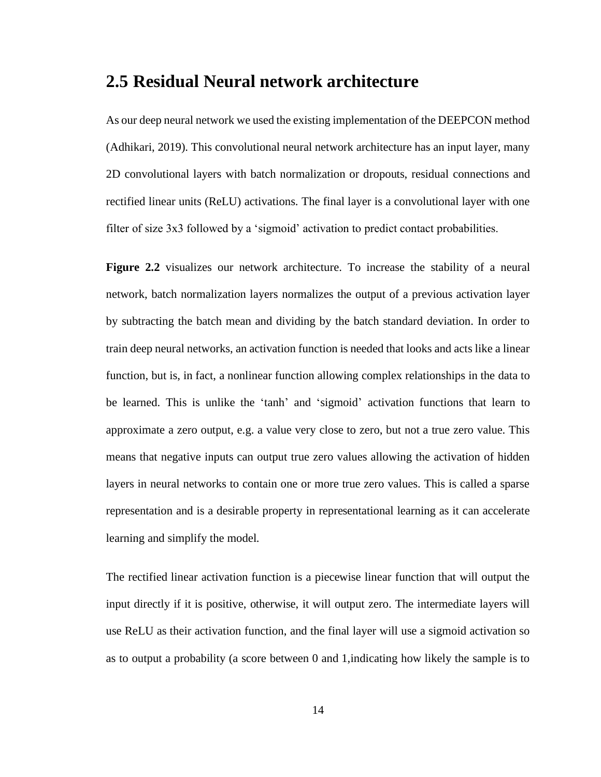#### <span id="page-20-0"></span>**2.5 Residual Neural network architecture**

As our deep neural network we used the existing implementation of the DEEPCON method (Adhikari, 2019). This convolutional neural network architecture has an input layer, many 2D convolutional layers with batch normalization or dropouts, residual connections and rectified linear units (ReLU) activations. The final layer is a convolutional layer with one filter of size 3x3 followed by a 'sigmoid' activation to predict contact probabilities.

**Figure 2.2** visualizes our network architecture. To increase the stability of a neural network, batch normalization layers normalizes the output of a previous activation layer by subtracting the batch mean and dividing by the batch standard deviation. In order to train deep neural networks, an activation function is needed that looks and acts like a linear function, but is, in fact, a nonlinear function allowing complex relationships in the data to be learned. This is unlike the 'tanh' and 'sigmoid' activation functions that learn to approximate a zero output, e.g. a value very close to zero, but not a true zero value. This means that negative inputs can output true zero values allowing the activation of hidden layers in neural networks to contain one or more true zero values. This is called a sparse representation and is a desirable property in representational learning as it can accelerate learning and simplify the model.

The rectified linear activation function is a piecewise linear function that will output the input directly if it is positive, otherwise, it will output zero. The intermediate layers will use ReLU as their activation function, and the final layer will use a sigmoid activation so as to output a probability (a score between 0 and 1,indicating how likely the sample is to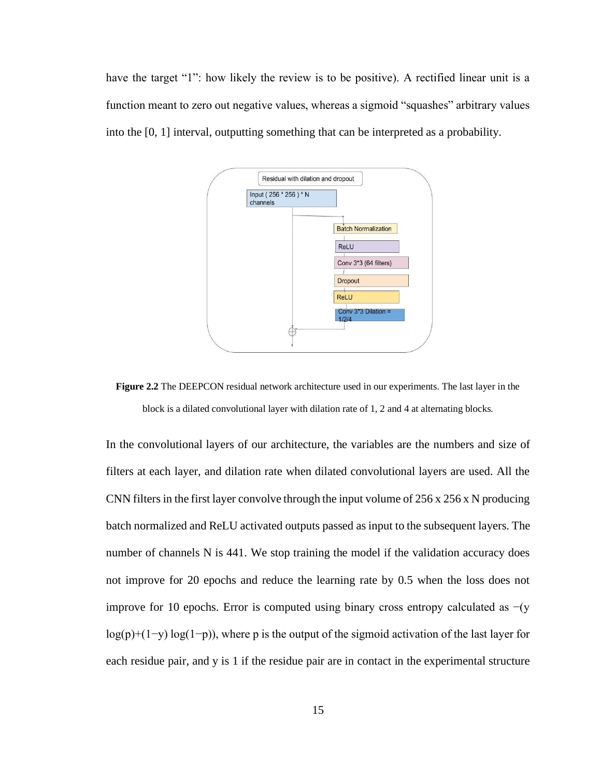have the target "1": how likely the review is to be positive). A rectified linear unit is a function meant to zero out negative values, whereas a sigmoid "squashes" arbitrary values into the [0, 1] interval, outputting something that can be interpreted as a probability.



<span id="page-21-0"></span>**Figure 2.2** The DEEPCON residual network architecture used in our experiments. The last layer in the block is a dilated convolutional layer with dilation rate of 1, 2 and 4 at alternating blocks.

In the convolutional layers of our architecture, the variables are the numbers and size of filters at each layer, and dilation rate when dilated convolutional layers are used. All the CNN filters in the first layer convolve through the input volume of 256 x 256 x N producing batch normalized and ReLU activated outputs passed as input to the subsequent layers. The number of channels N is 441. We stop training the model if the validation accuracy does not improve for 20 epochs and reduce the learning rate by 0.5 when the loss does not improve for 10 epochs. Error is computed using binary cross entropy calculated as −(y log(p)+(1−y) log(1−p)), where p is the output of the sigmoid activation of the last layer for each residue pair, and y is 1 if the residue pair are in contact in the experimental structure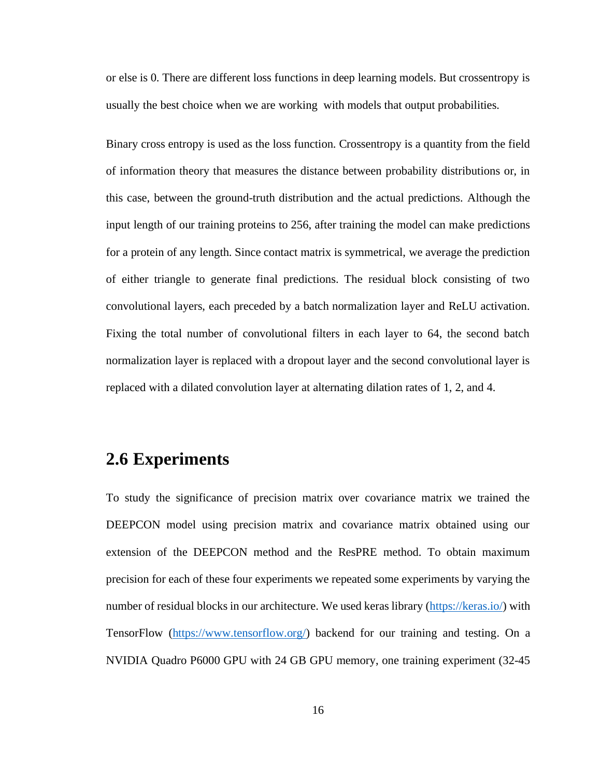or else is 0. There are different loss functions in deep learning models. But crossentropy is usually the best choice when we are working with models that output probabilities.

Binary cross entropy is used as the loss function. Crossentropy is a quantity from the field of information theory that measures the distance between probability distributions or, in this case, between the ground-truth distribution and the actual predictions. Although the input length of our training proteins to 256, after training the model can make predictions for a protein of any length. Since contact matrix is symmetrical, we average the prediction of either triangle to generate final predictions. The residual block consisting of two convolutional layers, each preceded by a batch normalization layer and ReLU activation. Fixing the total number of convolutional filters in each layer to 64, the second batch normalization layer is replaced with a dropout layer and the second convolutional layer is replaced with a dilated convolution layer at alternating dilation rates of 1, 2, and 4.

#### <span id="page-22-0"></span>**2.6 Experiments**

To study the significance of precision matrix over covariance matrix we trained the DEEPCON model using precision matrix and covariance matrix obtained using our extension of the DEEPCON method and the ResPRE method. To obtain maximum precision for each of these four experiments we repeated some experiments by varying the number of residual blocks in our architecture. We used keras library [\(https://keras.io/\)](https://keras.io/) with TensorFlow [\(https://www.tensorflow.org/\)](https://www.tensorflow.org/) backend for our training and testing. On a NVIDIA Quadro P6000 GPU with 24 GB GPU memory, one training experiment (32-45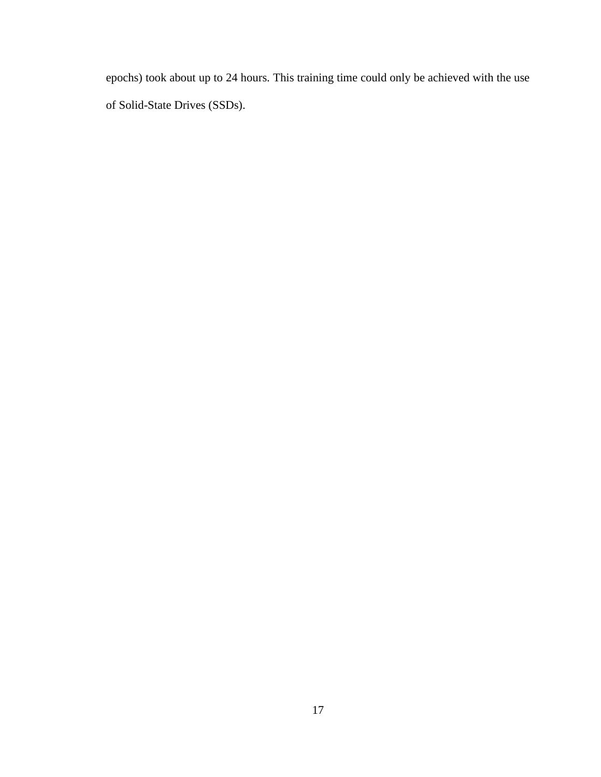epochs) took about up to 24 hours. This training time could only be achieved with the use of Solid-State Drives (SSDs).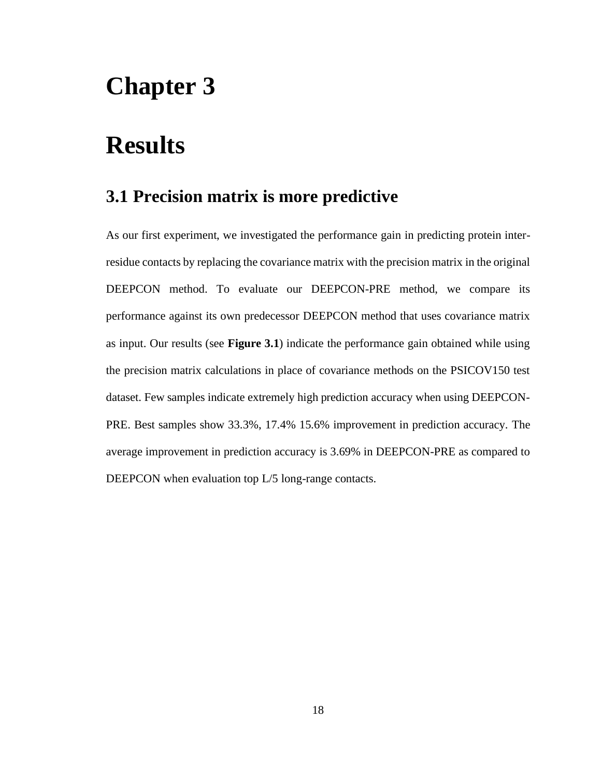## **Chapter 3**

## <span id="page-24-0"></span>**Results**

### <span id="page-24-1"></span>**3.1 Precision matrix is more predictive**

As our first experiment, we investigated the performance gain in predicting protein interresidue contacts by replacing the covariance matrix with the precision matrix in the original DEEPCON method. To evaluate our DEEPCON-PRE method, we compare its performance against its own predecessor DEEPCON method that uses covariance matrix as input. Our results (see **Figure 3.1**) indicate the performance gain obtained while using the precision matrix calculations in place of covariance methods on the PSICOV150 test dataset. Few samples indicate extremely high prediction accuracy when using DEEPCON-PRE. Best samples show 33.3%, 17.4% 15.6% improvement in prediction accuracy. The average improvement in prediction accuracy is 3.69% in DEEPCON-PRE as compared to DEEPCON when evaluation top L/5 long-range contacts.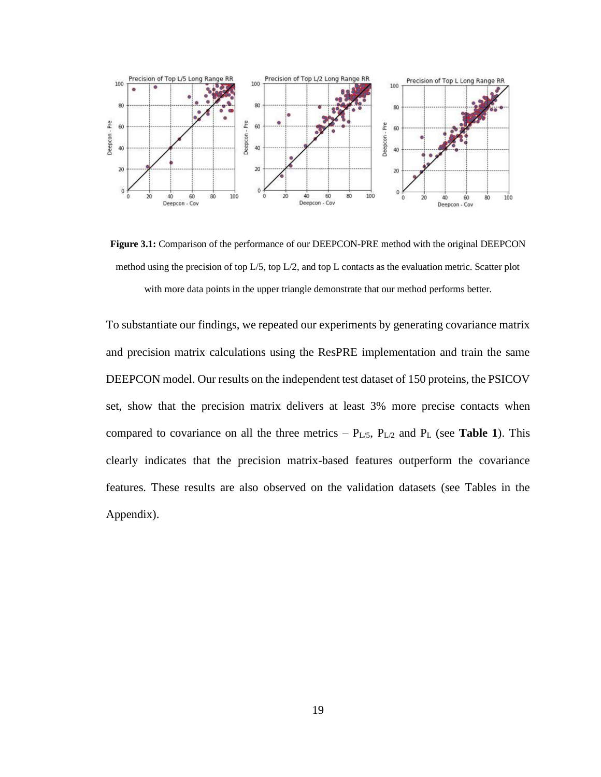

<span id="page-25-0"></span>**Figure 3.1:** Comparison of the performance of our DEEPCON-PRE method with the original DEEPCON method using the precision of top  $L/5$ , top  $L/2$ , and top L contacts as the evaluation metric. Scatter plot with more data points in the upper triangle demonstrate that our method performs better.

To substantiate our findings, we repeated our experiments by generating covariance matrix and precision matrix calculations using the ResPRE implementation and train the same DEEPCON model. Our results on the independent test dataset of 150 proteins, the PSICOV set, show that the precision matrix delivers at least 3% more precise contacts when compared to covariance on all the three metrics  $-P_{L/5}$ ,  $P_{L/2}$  and  $P_L$  (see **Table 1**). This clearly indicates that the precision matrix-based features outperform the covariance features. These results are also observed on the validation datasets (see Tables in the Appendix).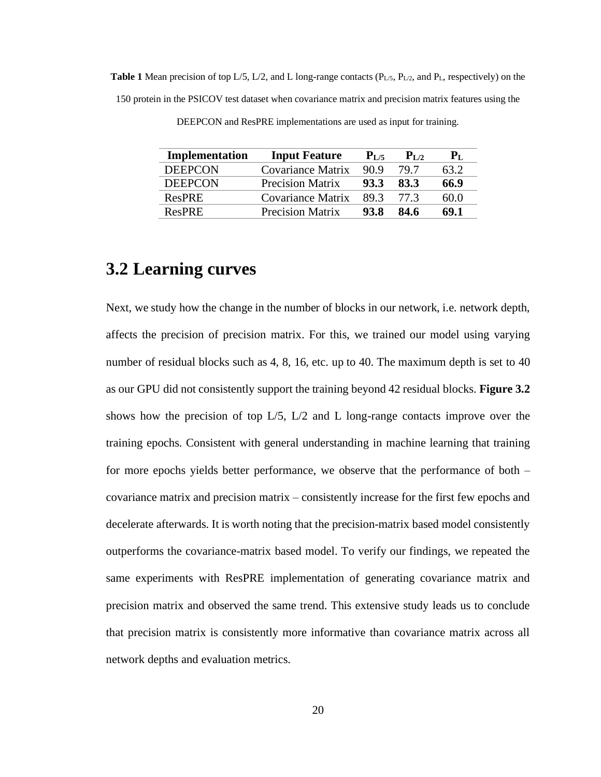<span id="page-26-1"></span>**Table 1** Mean precision of top  $L/5$ ,  $L/2$ , and L long-range contacts  $(P_{L/5}, P_{L/2},$  and  $P_L$ , respectively) on the 150 protein in the PSICOV test dataset when covariance matrix and precision matrix features using the

| Implementation | <b>Input Feature</b>     | $P_{L/5}$ | $P_{L/2}$ | $P_{\rm L}$ |
|----------------|--------------------------|-----------|-----------|-------------|
| <b>DEEPCON</b> | <b>Covariance Matrix</b> | 90.9      | 79.7      | 63.2        |
| <b>DEEPCON</b> | <b>Precision Matrix</b>  | 93.3      | 83.3      | 66.9        |
| <b>ResPRE</b>  | Covariance Matrix        | 893       | 77 3      | 60.0        |
| <b>ResPRE</b>  | <b>Precision Matrix</b>  | 93.8      | 84.6      | 69.1        |

DEEPCON and ResPRE implementations are used as input for training.

#### <span id="page-26-0"></span>**3.2 Learning curves**

Next, we study how the change in the number of blocks in our network, i.e. network depth, affects the precision of precision matrix. For this, we trained our model using varying number of residual blocks such as 4, 8, 16, etc. up to 40. The maximum depth is set to 40 as our GPU did not consistently support the training beyond 42 residual blocks. **Figure 3.2** shows how the precision of top  $L/5$ ,  $L/2$  and L long-range contacts improve over the training epochs. Consistent with general understanding in machine learning that training for more epochs yields better performance, we observe that the performance of both – covariance matrix and precision matrix – consistently increase for the first few epochs and decelerate afterwards. It is worth noting that the precision-matrix based model consistently outperforms the covariance-matrix based model. To verify our findings, we repeated the same experiments with ResPRE implementation of generating covariance matrix and precision matrix and observed the same trend. This extensive study leads us to conclude that precision matrix is consistently more informative than covariance matrix across all network depths and evaluation metrics.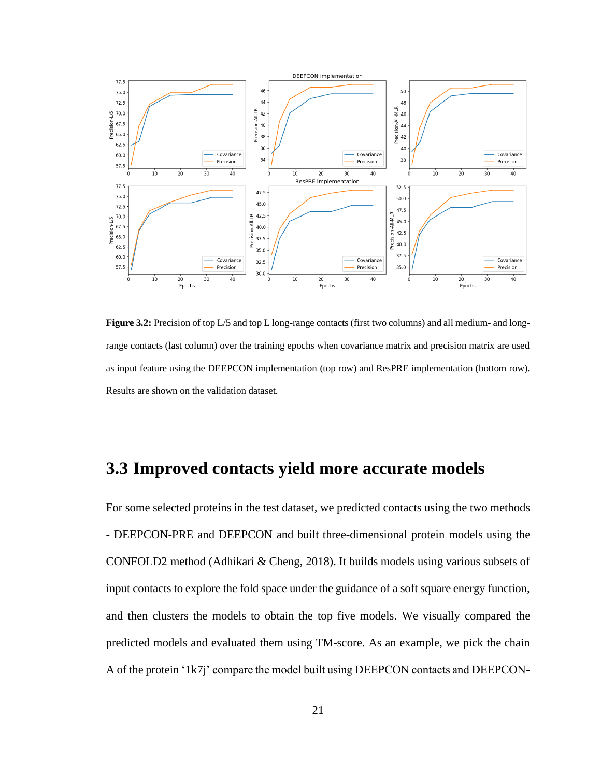

<span id="page-27-1"></span>**Figure 3.2:** Precision of top L/5 and top L long-range contacts (first two columns) and all medium- and longrange contacts (last column) over the training epochs when covariance matrix and precision matrix are used as input feature using the DEEPCON implementation (top row) and ResPRE implementation (bottom row). Results are shown on the validation dataset.

#### <span id="page-27-0"></span>**3.3 Improved contacts yield more accurate models**

For some selected proteins in the test dataset, we predicted contacts using the two methods - DEEPCON-PRE and DEEPCON and built three-dimensional protein models using the CONFOLD2 method (Adhikari & Cheng, 2018). It builds models using various subsets of input contacts to explore the fold space under the guidance of a soft square energy function, and then clusters the models to obtain the top five models. We visually compared the predicted models and evaluated them using TM-score. As an example, we pick the chain A of the protein '1k7j' compare the model built using DEEPCON contacts and DEEPCON-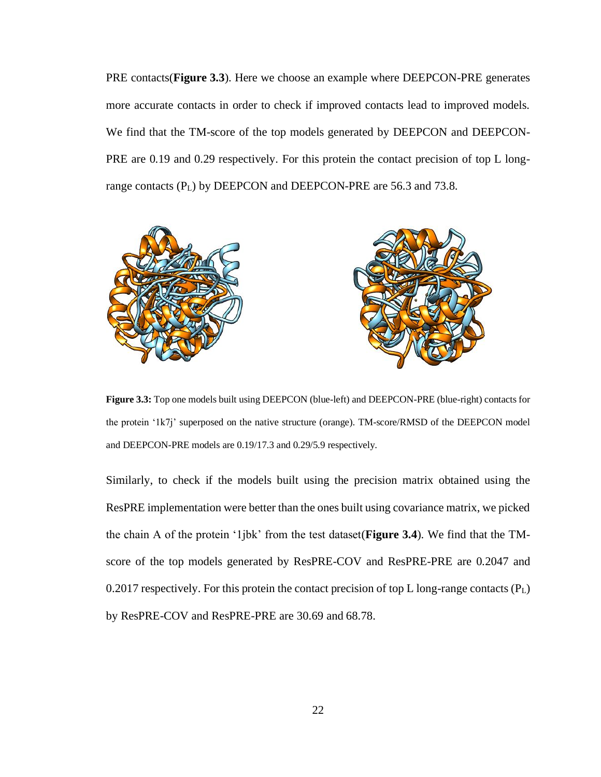PRE contacts(**Figure 3.3**). Here we choose an example where DEEPCON-PRE generates more accurate contacts in order to check if improved contacts lead to improved models. We find that the TM-score of the top models generated by DEEPCON and DEEPCON-PRE are 0.19 and 0.29 respectively. For this protein the contact precision of top L longrange contacts (PL) by DEEPCON and DEEPCON-PRE are 56.3 and 73.8.



**Figure 3.3:** Top one models built using DEEPCON (blue-left) and DEEPCON-PRE (blue-right) contacts for the protein '1k7j' superposed on the native structure (orange). TM-score/RMSD of the DEEPCON model and DEEPCON-PRE models are 0.19/17.3 and 0.29/5.9 respectively.

<span id="page-28-0"></span>Similarly, to check if the models built using the precision matrix obtained using the ResPRE implementation were better than the ones built using covariance matrix, we picked the chain A of the protein '1jbk' from the test dataset(**Figure 3.4**). We find that the TMscore of the top models generated by ResPRE-COV and ResPRE-PRE are 0.2047 and 0.2017 respectively. For this protein the contact precision of top L long-range contacts  $(P_L)$ by ResPRE-COV and ResPRE-PRE are 30.69 and 68.78.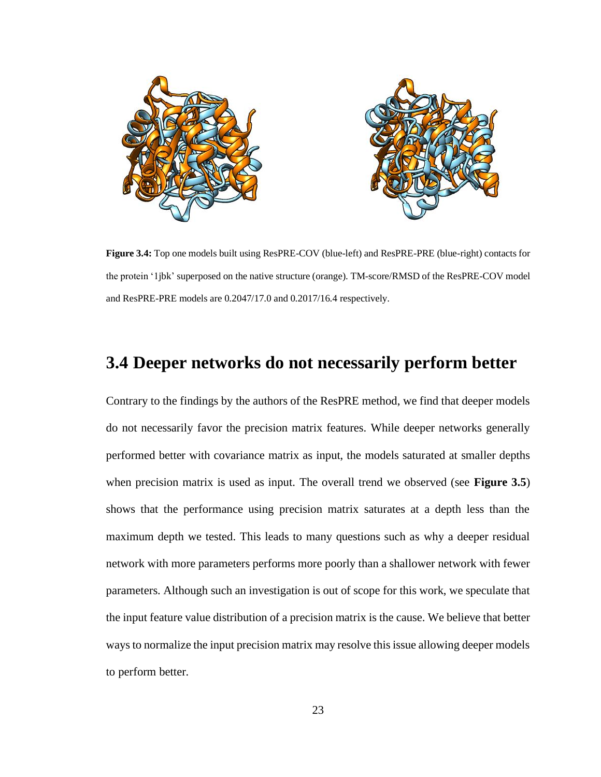

**Figure 3.4:** Top one models built using ResPRE-COV (blue-left) and ResPRE-PRE (blue-right) contacts for the protein '1jbk' superposed on the native structure (orange). TM-score/RMSD of the ResPRE-COV model and ResPRE-PRE models are 0.2047/17.0 and 0.2017/16.4 respectively.

#### <span id="page-29-1"></span><span id="page-29-0"></span>**3.4 Deeper networks do not necessarily perform better**

Contrary to the findings by the authors of the ResPRE method, we find that deeper models do not necessarily favor the precision matrix features. While deeper networks generally performed better with covariance matrix as input, the models saturated at smaller depths when precision matrix is used as input. The overall trend we observed (see **Figure 3.5**) shows that the performance using precision matrix saturates at a depth less than the maximum depth we tested. This leads to many questions such as why a deeper residual network with more parameters performs more poorly than a shallower network with fewer parameters. Although such an investigation is out of scope for this work, we speculate that the input feature value distribution of a precision matrix is the cause. We believe that better ways to normalize the input precision matrix may resolve this issue allowing deeper models to perform better.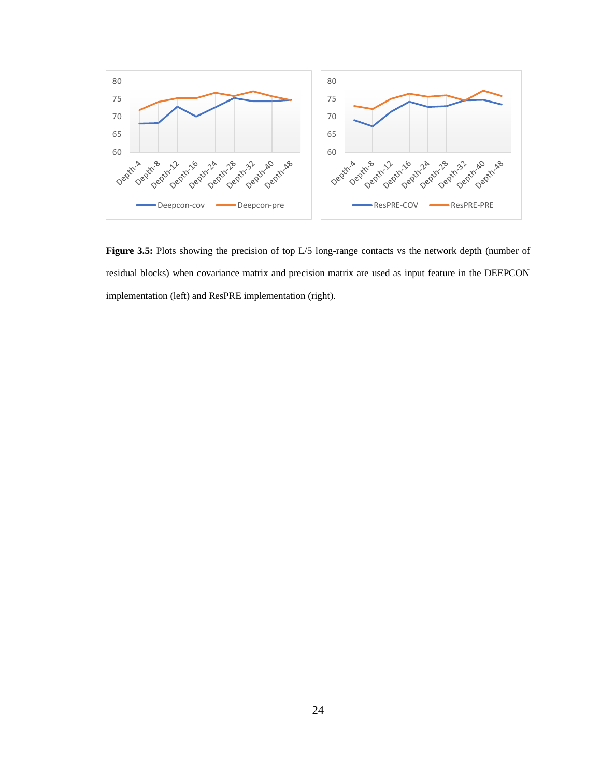

<span id="page-30-0"></span>Figure 3.5: Plots showing the precision of top L/5 long-range contacts vs the network depth (number of residual blocks) when covariance matrix and precision matrix are used as input feature in the DEEPCON implementation (left) and ResPRE implementation (right).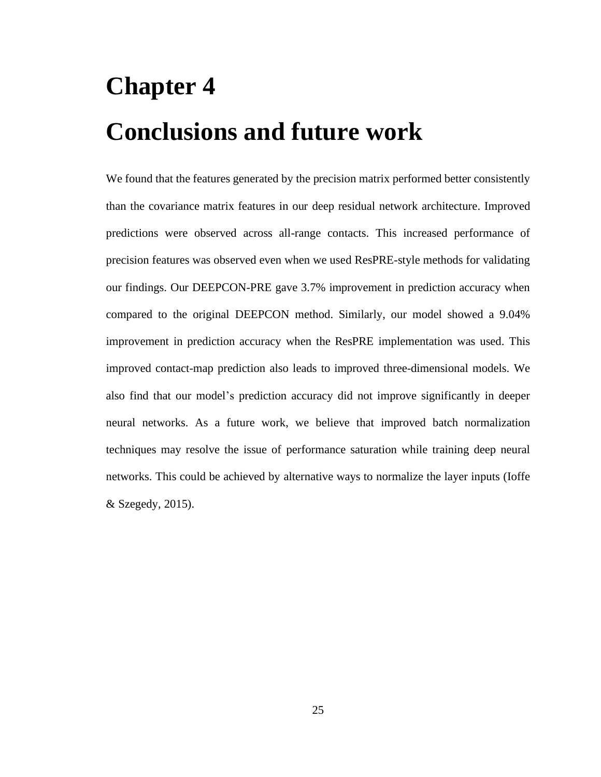# <span id="page-31-0"></span>**Chapter 4 Conclusions and future work**

We found that the features generated by the precision matrix performed better consistently than the covariance matrix features in our deep residual network architecture. Improved predictions were observed across all-range contacts. This increased performance of precision features was observed even when we used ResPRE-style methods for validating our findings. Our DEEPCON-PRE gave 3.7% improvement in prediction accuracy when compared to the original DEEPCON method. Similarly, our model showed a 9.04% improvement in prediction accuracy when the ResPRE implementation was used. This improved contact-map prediction also leads to improved three-dimensional models. We also find that our model's prediction accuracy did not improve significantly in deeper neural networks. As a future work, we believe that improved batch normalization techniques may resolve the issue of performance saturation while training deep neural networks. This could be achieved by alternative ways to normalize the layer inputs (Ioffe & Szegedy, 2015).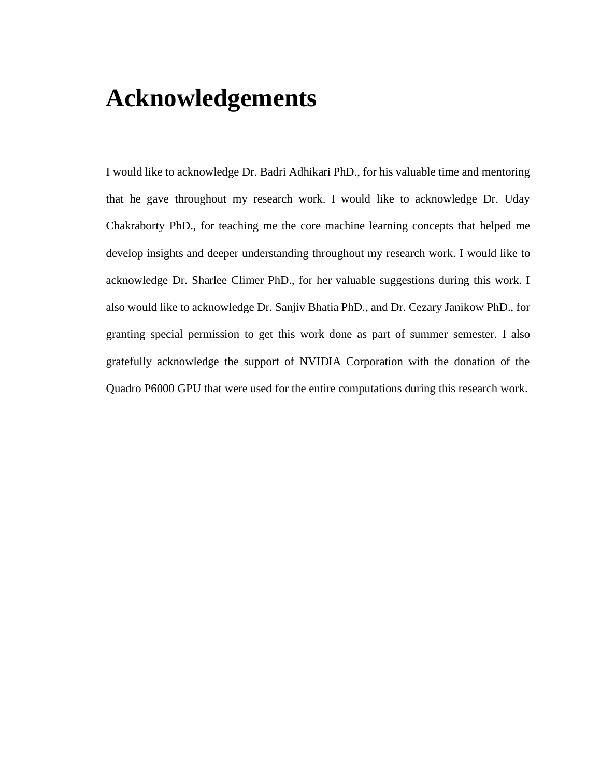## **Acknowledgements**

I would like to acknowledge Dr. Badri Adhikari PhD., for his valuable time and mentoring that he gave throughout my research work. I would like to acknowledge Dr. Uday Chakraborty PhD., for teaching me the core machine learning concepts that helped me develop insights and deeper understanding throughout my research work. I would like to acknowledge Dr. Sharlee Climer PhD., for her valuable suggestions during this work. I also would like to acknowledge Dr. Sanjiv Bhatia PhD., and Dr. Cezary Janikow PhD., for granting special permission to get this work done as part of summer semester. I also gratefully acknowledge the support of NVIDIA Corporation with the donation of the Quadro P6000 GPU that were used for the entire computations during this research work.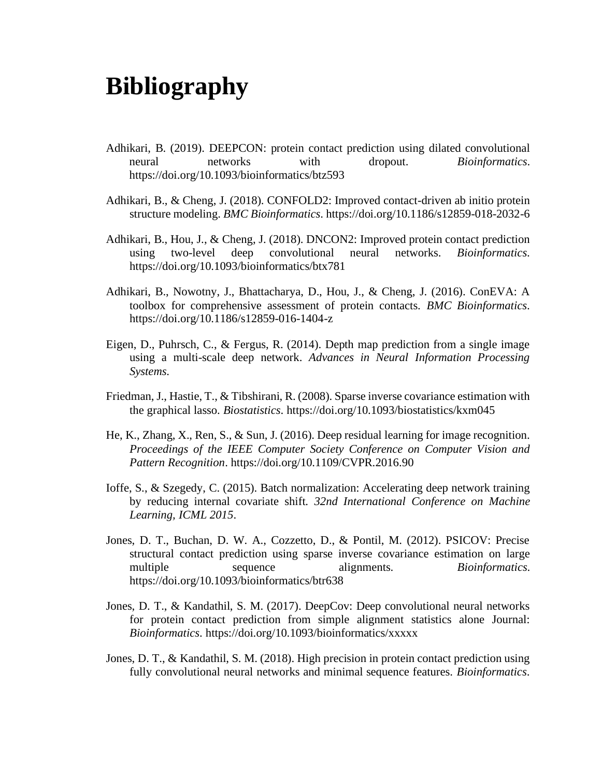## **Bibliography**

- Adhikari, B. (2019). DEEPCON: protein contact prediction using dilated convolutional neural networks with dropout. *Bioinformatics*. https://doi.org/10.1093/bioinformatics/btz593
- Adhikari, B., & Cheng, J. (2018). CONFOLD2: Improved contact-driven ab initio protein structure modeling. *BMC Bioinformatics*. https://doi.org/10.1186/s12859-018-2032-6
- Adhikari, B., Hou, J., & Cheng, J. (2018). DNCON2: Improved protein contact prediction using two-level deep convolutional neural networks. *Bioinformatics*. https://doi.org/10.1093/bioinformatics/btx781
- Adhikari, B., Nowotny, J., Bhattacharya, D., Hou, J., & Cheng, J. (2016). ConEVA: A toolbox for comprehensive assessment of protein contacts. *BMC Bioinformatics*. https://doi.org/10.1186/s12859-016-1404-z
- Eigen, D., Puhrsch, C., & Fergus, R. (2014). Depth map prediction from a single image using a multi-scale deep network. *Advances in Neural Information Processing Systems*.
- Friedman, J., Hastie, T., & Tibshirani, R. (2008). Sparse inverse covariance estimation with the graphical lasso. *Biostatistics*. https://doi.org/10.1093/biostatistics/kxm045
- He, K., Zhang, X., Ren, S., & Sun, J. (2016). Deep residual learning for image recognition. *Proceedings of the IEEE Computer Society Conference on Computer Vision and Pattern Recognition*. https://doi.org/10.1109/CVPR.2016.90
- Ioffe, S., & Szegedy, C. (2015). Batch normalization: Accelerating deep network training by reducing internal covariate shift. *32nd International Conference on Machine Learning, ICML 2015*.
- Jones, D. T., Buchan, D. W. A., Cozzetto, D., & Pontil, M. (2012). PSICOV: Precise structural contact prediction using sparse inverse covariance estimation on large multiple sequence alignments. *Bioinformatics*. https://doi.org/10.1093/bioinformatics/btr638
- Jones, D. T., & Kandathil, S. M. (2017). DeepCov: Deep convolutional neural networks for protein contact prediction from simple alignment statistics alone Journal: *Bioinformatics*. https://doi.org/10.1093/bioinformatics/xxxxx
- Jones, D. T., & Kandathil, S. M. (2018). High precision in protein contact prediction using fully convolutional neural networks and minimal sequence features. *Bioinformatics*.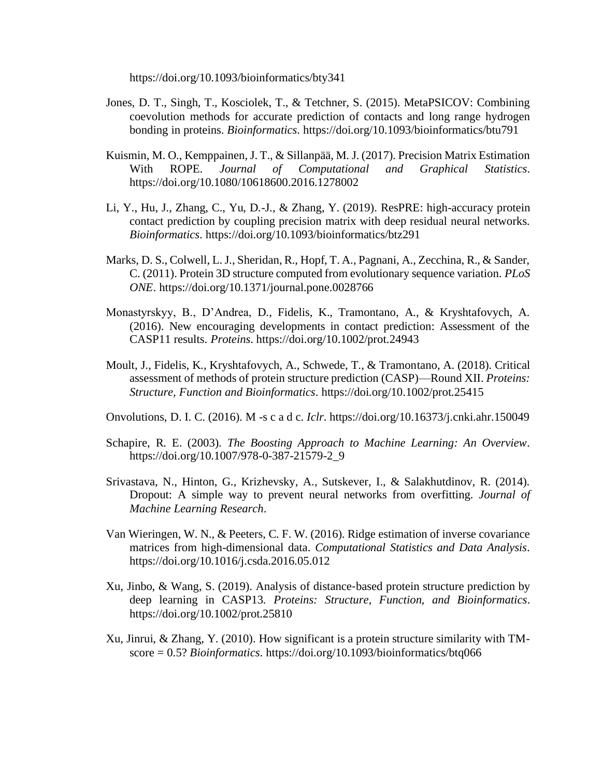https://doi.org/10.1093/bioinformatics/bty341

- Jones, D. T., Singh, T., Kosciolek, T., & Tetchner, S. (2015). MetaPSICOV: Combining coevolution methods for accurate prediction of contacts and long range hydrogen bonding in proteins. *Bioinformatics*. https://doi.org/10.1093/bioinformatics/btu791
- Kuismin, M. O., Kemppainen, J. T., & Sillanpää, M. J. (2017). Precision Matrix Estimation With ROPE. *Journal of Computational and Graphical Statistics*. https://doi.org/10.1080/10618600.2016.1278002
- Li, Y., Hu, J., Zhang, C., Yu, D.-J., & Zhang, Y. (2019). ResPRE: high-accuracy protein contact prediction by coupling precision matrix with deep residual neural networks. *Bioinformatics*. https://doi.org/10.1093/bioinformatics/btz291
- Marks, D. S., Colwell, L. J., Sheridan, R., Hopf, T. A., Pagnani, A., Zecchina, R., & Sander, C. (2011). Protein 3D structure computed from evolutionary sequence variation. *PLoS ONE*. https://doi.org/10.1371/journal.pone.0028766
- Monastyrskyy, B., D'Andrea, D., Fidelis, K., Tramontano, A., & Kryshtafovych, A. (2016). New encouraging developments in contact prediction: Assessment of the CASP11 results. *Proteins*. https://doi.org/10.1002/prot.24943
- Moult, J., Fidelis, K., Kryshtafovych, A., Schwede, T., & Tramontano, A. (2018). Critical assessment of methods of protein structure prediction (CASP)—Round XII. *Proteins: Structure, Function and Bioinformatics*. https://doi.org/10.1002/prot.25415
- Onvolutions, D. I. C. (2016). M -s c a d c. *Iclr*. https://doi.org/10.16373/j.cnki.ahr.150049
- Schapire, R. E. (2003). *The Boosting Approach to Machine Learning: An Overview*. https://doi.org/10.1007/978-0-387-21579-2\_9
- Srivastava, N., Hinton, G., Krizhevsky, A., Sutskever, I., & Salakhutdinov, R. (2014). Dropout: A simple way to prevent neural networks from overfitting. *Journal of Machine Learning Research*.
- Van Wieringen, W. N., & Peeters, C. F. W. (2016). Ridge estimation of inverse covariance matrices from high-dimensional data. *Computational Statistics and Data Analysis*. https://doi.org/10.1016/j.csda.2016.05.012
- Xu, Jinbo, & Wang, S. (2019). Analysis of distance‐based protein structure prediction by deep learning in CASP13. *Proteins: Structure, Function, and Bioinformatics*. https://doi.org/10.1002/prot.25810
- Xu, Jinrui, & Zhang, Y. (2010). How significant is a protein structure similarity with TMscore = 0.5? *Bioinformatics*. https://doi.org/10.1093/bioinformatics/btq066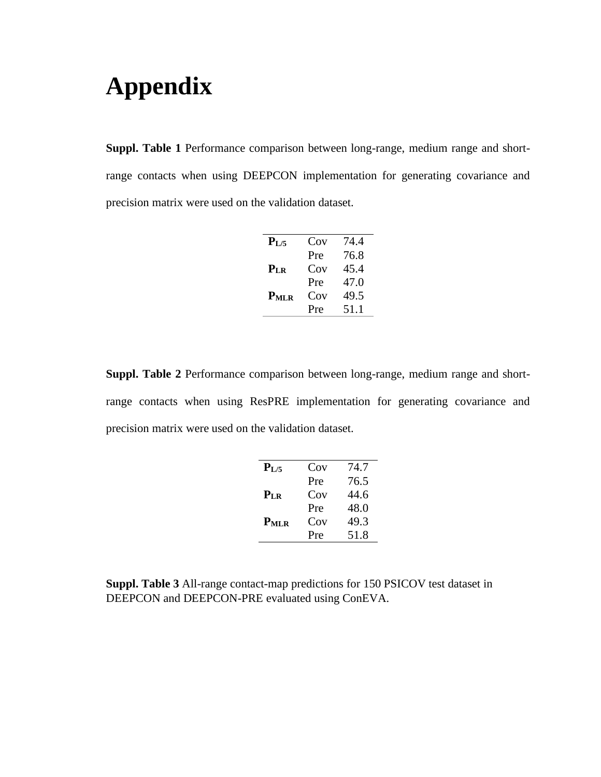## **Appendix**

**Suppl. Table 1** Performance comparison between long-range, medium range and shortrange contacts when using DEEPCON implementation for generating covariance and precision matrix were used on the validation dataset.

| $P_{L/5}$ | Cov | 74.4 |
|-----------|-----|------|
|           | Pre | 76.8 |
| $P_{LR}$  | Cov | 45.4 |
|           | Pre | 47.0 |
| $P_{MLR}$ | Cov | 49.5 |
|           | Pre | 51.1 |
|           |     |      |

**Suppl. Table 2** Performance comparison between long-range, medium range and shortrange contacts when using ResPRE implementation for generating covariance and precision matrix were used on the validation dataset.

| $P_{L/5}$ | Cov | 74.7 |
|-----------|-----|------|
|           | Pre | 76.5 |
| $P_{LR}$  | Cov | 44.6 |
|           | Pre | 48.0 |
| $P_{MLR}$ | Cov | 49.3 |
|           | Pre | 51.8 |
|           |     |      |

**Suppl. Table 3** All-range contact-map predictions for 150 PSICOV test dataset in DEEPCON and DEEPCON-PRE evaluated using ConEVA.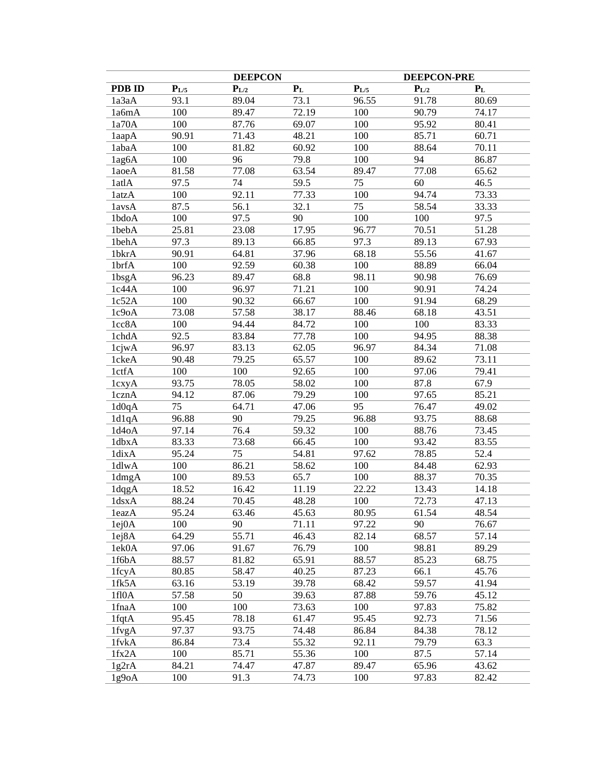|                    |           | <b>DEEPCON</b>              |                         |           | DEEPCON-PRE                 |       |  |
|--------------------|-----------|-----------------------------|-------------------------|-----------|-----------------------------|-------|--|
| <b>PDB ID</b>      | $P_{L/5}$ | $\mathbf{P}_{\mathrm{L}/2}$ | $\mathbf{P}_{\text{L}}$ | $P_{L/5}$ | $\mathbf{P}_{\mathrm{L}/2}$ | $P_L$ |  |
| 1a3aA              | 93.1      | 89.04                       | 73.1                    | 96.55     | 91.78                       | 80.69 |  |
| 1a6mA              | 100       | 89.47                       | $\overline{72.19}$      | 100       | 90.79                       | 74.17 |  |
| 1a70A              | 100       | 87.76                       | 69.07                   | 100       | 95.92                       | 80.41 |  |
| 1aapA              | 90.91     | 71.43                       | 48.21                   | 100       | 85.71                       | 60.71 |  |
| 1abaA              | 100       | 81.82                       | 60.92                   | 100       | 88.64                       | 70.11 |  |
| 1ag6A              | 100       | 96                          | 79.8                    | 100       | 94                          | 86.87 |  |
| 1aoeA              | 81.58     | 77.08                       | 63.54                   | 89.47     | 77.08                       | 65.62 |  |
| 1atlA              | 97.5      | 74                          | 59.5                    | 75        | 60                          | 46.5  |  |
| 1atzA              | 100       | 92.11                       | 77.33                   | 100       | 94.74                       | 73.33 |  |
| 1avsA              | 87.5      | 56.1                        | 32.1                    | 75        | 58.54                       | 33.33 |  |
| 1bdoA              | 100       | 97.5                        | 90                      | 100       | 100                         | 97.5  |  |
| 1bebA              | 25.81     | 23.08                       | 17.95                   | 96.77     | 70.51                       | 51.28 |  |
| 1behA              | 97.3      | 89.13                       | 66.85                   | 97.3      | 89.13                       | 67.93 |  |
| $1$ bkr $A$        | 90.91     | 64.81                       | 37.96                   | 68.18     | 55.56                       | 41.67 |  |
| 1brfA              | 100       | 92.59                       | 60.38                   | 100       | 88.89                       | 66.04 |  |
| 1bsgA              | 96.23     | 89.47                       | 68.8                    | 98.11     | 90.98                       | 76.69 |  |
| 1c44A              | 100       | 96.97                       | 71.21                   | 100       | 90.91                       | 74.24 |  |
| 1c52A              | 100       | 90.32                       | 66.67                   | 100       | 91.94                       | 68.29 |  |
| 1c9oA              | 73.08     | 57.58                       | 38.17                   | 88.46     | 68.18                       | 43.51 |  |
| 1cc8A              | 100       | 94.44                       | 84.72                   | 100       | 100                         | 83.33 |  |
| 1chdA              | 92.5      | 83.84                       | 77.78                   | 100       | 94.95                       | 88.38 |  |
| <b>lcjwA</b>       | 96.97     | 83.13                       | 62.05                   | 96.97     | 84.34                       | 71.08 |  |
| 1ckeA              | 90.48     | 79.25                       | 65.57                   | 100       | 89.62                       | 73.11 |  |
| 1ctfA              | 100       | 100                         | 92.65                   | 100       | 97.06                       | 79.41 |  |
| $1c$ xy $A$        | 93.75     | 78.05                       | 58.02                   | 100       | 87.8                        | 67.9  |  |
| 1cznA              | 94.12     | 87.06                       | 79.29                   | 100       | 97.65                       | 85.21 |  |
| 1d0qA              | 75        | 64.71                       | 47.06                   | 95        | 76.47                       | 49.02 |  |
| 1d1qA              | 96.88     | 90                          | 79.25                   | 96.88     | 93.75                       | 88.68 |  |
| 1d4oA              | 97.14     | 76.4                        | 59.32                   | 100       | 88.76                       | 73.45 |  |
| 1dbxA              | 83.33     | 73.68                       | 66.45                   | 100       | 93.42                       | 83.55 |  |
| 1dixA              | 95.24     | 75                          | 54.81                   | 97.62     | 78.85                       | 52.4  |  |
| $1d$ lwA           | 100       | 86.21                       | 58.62                   | 100       | 84.48                       | 62.93 |  |
| 1dmgA              | 100       | 89.53                       | 65.7                    | 100       | 88.37                       | 70.35 |  |
| 1dqgA              | 18.52     | 16.42                       | 11.19                   | 22.22     | 13.43                       | 14.18 |  |
| 1dsxA              | 88.24     | 70.45                       | 48.28                   | 100       | 72.73                       | 47.13 |  |
| leazA              | 95.24     | 63.46                       | 45.63                   | 80.95     | 61.54                       | 48.54 |  |
|                    |           |                             |                         |           |                             | 76.67 |  |
| 1ej <sub>0</sub> A | 100       | 90                          | 71.11                   | 97.22     | 90                          |       |  |
| 1ej8A              | 64.29     | 55.71                       | 46.43                   | 82.14     | 68.57                       | 57.14 |  |
| 1ek0A              | 97.06     | 91.67                       | 76.79                   | 100       | 98.81                       | 89.29 |  |
| 1f6bA              | 88.57     | 81.82                       | 65.91                   | 88.57     | 85.23                       | 68.75 |  |
| 1fcyA              | 80.85     | 58.47                       | 40.25                   | 87.23     | 66.1                        | 45.76 |  |
| 1fk5A              | 63.16     | 53.19                       | 39.78                   | 68.42     | 59.57                       | 41.94 |  |
| 1fl0A              | 57.58     | 50                          | 39.63                   | 87.88     | 59.76                       | 45.12 |  |
| 1fnaA              | 100       | 100                         | 73.63                   | 100       | 97.83                       | 75.82 |  |
| 1fqtA              | 95.45     | 78.18                       | 61.47                   | 95.45     | 92.73                       | 71.56 |  |
| 1fvgA              | 97.37     | 93.75                       | 74.48                   | 86.84     | 84.38                       | 78.12 |  |
| 1fvkA              | 86.84     | 73.4                        | 55.32                   | 92.11     | 79.79                       | 63.3  |  |
| 1fx2A              | 100       | 85.71                       | 55.36                   | 100       | 87.5                        | 57.14 |  |
| 1g2rA              | 84.21     | 74.47                       | 47.87                   | 89.47     | 65.96                       | 43.62 |  |
| 1g9oA              | 100       | 91.3                        | 74.73                   | 100       | 97.83                       | 82.42 |  |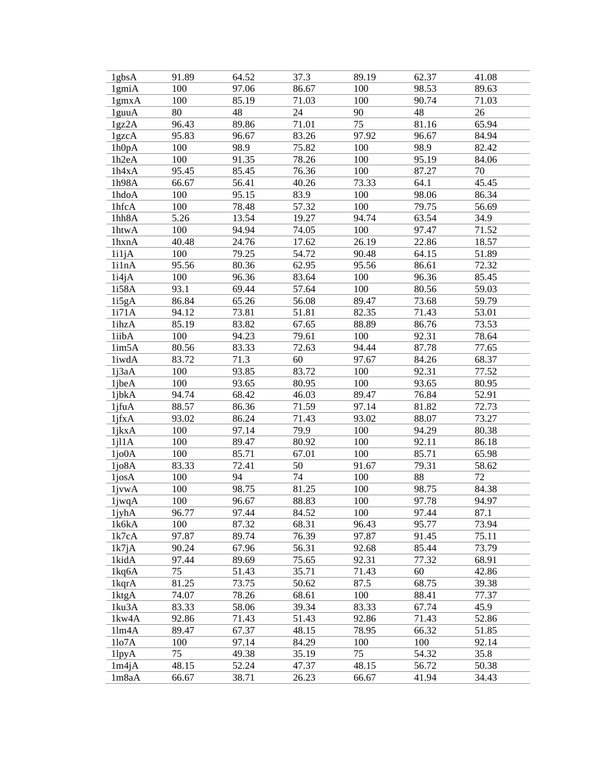| 1gbsA              | 91.89 | 64.52 | 37.3  | 89.19 | 62.37 | 41.08 |
|--------------------|-------|-------|-------|-------|-------|-------|
| 1gmiA              | 100   | 97.06 | 86.67 | 100   | 98.53 | 89.63 |
| 1gmxA              | 100   | 85.19 | 71.03 | 100   | 90.74 | 71.03 |
| 1guuA              | 80    | 48    | 24    | 90    | 48    | 26    |
| 1gz2A              | 96.43 | 89.86 | 71.01 | 75    | 81.16 | 65.94 |
| 1gzcA              | 95.83 | 96.67 | 83.26 | 97.92 | 96.67 | 84.94 |
| 1h0pA              | 100   | 98.9  | 75.82 | 100   | 98.9  | 82.42 |
| 1h2eA              | 100   | 91.35 | 78.26 | 100   | 95.19 | 84.06 |
| 1h4xA              | 95.45 | 85.45 | 76.36 | 100   | 87.27 | 70    |
| 1h98A              | 66.67 | 56.41 | 40.26 | 73.33 | 64.1  | 45.45 |
| 1hdoA              | 100   | 95.15 | 83.9  | 100   | 98.06 | 86.34 |
| 1hfcA              | 100   | 78.48 | 57.32 | 100   | 79.75 | 56.69 |
| 1hh8A              | 5.26  | 13.54 | 19.27 | 94.74 | 63.54 | 34.9  |
| 1htwA              | 100   | 94.94 | 74.05 | 100   | 97.47 | 71.52 |
| 1hxnA              | 40.48 | 24.76 | 17.62 | 26.19 | 22.86 | 18.57 |
| 1i1jA              | 100   | 79.25 | 54.72 | 90.48 | 64.15 | 51.89 |
| li1nA              | 95.56 | 80.36 | 62.95 | 95.56 | 86.61 | 72.32 |
| 1i4jA              | 100   | 96.36 | 83.64 | 100   | 96.36 | 85.45 |
| 1i58A              | 93.1  | 69.44 | 57.64 | 100   | 80.56 | 59.03 |
| 1i5gA              | 86.84 | 65.26 | 56.08 | 89.47 | 73.68 | 59.79 |
| 1i71A              | 94.12 | 73.81 | 51.81 | 82.35 | 71.43 | 53.01 |
| 1ihzA              | 85.19 | 83.82 | 67.65 | 88.89 | 86.76 | 73.53 |
| 1iibA              | 100   | 94.23 | 79.61 | 100   | 92.31 | 78.64 |
| lim <sub>5</sub> A | 80.56 | 83.33 | 72.63 | 94.44 | 87.78 | 77.65 |
| liwdA              | 83.72 | 71.3  | 60    | 97.67 | 84.26 | 68.37 |
| 1j3aA              | 100   | 93.85 | 83.72 | 100   | 92.31 | 77.52 |
| 1jbeA              | 100   | 93.65 | 80.95 | 100   | 93.65 | 80.95 |
| $1$ jbk $A$        | 94.74 | 68.42 | 46.03 | 89.47 | 76.84 | 52.91 |
| 1jfuA              | 88.57 | 86.36 | 71.59 | 97.14 | 81.82 | 72.73 |
| $1$ jfxA           | 93.02 | 86.24 | 71.43 | 93.02 | 88.07 | 73.27 |
| $1$ jkx $A$        | 100   | 97.14 | 79.9  | 100   | 94.29 | 80.38 |
| 1j11A              | 100   | 89.47 | 80.92 | 100   | 92.11 | 86.18 |
| 1jo0A              | 100   | 85.71 | 67.01 | 100   | 85.71 | 65.98 |
| 1j <sub>0</sub> 8A | 83.33 | 72.41 | 50    | 91.67 | 79.31 | 58.62 |
| 1josA              | 100   | 94    | 74    | 100   | 88    | 72    |
| 1jvwA              | 100   | 98.75 | 81.25 | 100   | 98.75 | 84.38 |
| 1jwqA              | 100   | 96.67 | 88.83 | 100   | 97.78 | 94.97 |
| 1jyhA              | 96.77 | 97.44 | 84.52 | 100   | 97.44 | 87.1  |
| 1k6kA              | 100   | 87.32 | 68.31 | 96.43 | 95.77 | 73.94 |
| 1k7cA              | 97.87 | 89.74 | 76.39 | 97.87 | 91.45 | 75.11 |
| 1k7jA              | 90.24 | 67.96 | 56.31 | 92.68 | 85.44 | 73.79 |
| 1kidA              | 97.44 | 89.69 | 75.65 | 92.31 | 77.32 | 68.91 |
| 1kq6A              | 75    | 51.43 | 35.71 | 71.43 | 60    | 42.86 |
| 1kqrA              | 81.25 | 73.75 | 50.62 | 87.5  | 68.75 | 39.38 |
| 1ktgA              | 74.07 | 78.26 | 68.61 | 100   | 88.41 | 77.37 |
| 1ku3A              | 83.33 | 58.06 | 39.34 | 83.33 | 67.74 | 45.9  |
| 1kw4A              | 92.86 | 71.43 | 51.43 | 92.86 | 71.43 | 52.86 |
| 1lm4A              | 89.47 | 67.37 | 48.15 | 78.95 | 66.32 | 51.85 |
| 11o7A              | 100   | 97.14 | 84.29 | 100   | 100   | 92.14 |
| 1lpyA              | 75    | 49.38 | 35.19 | 75    | 54.32 | 35.8  |
| 1m4iA              | 48.15 | 52.24 | 47.37 | 48.15 | 56.72 | 50.38 |
| 1m8aA              | 66.67 | 38.71 | 26.23 | 66.67 | 41.94 | 34.43 |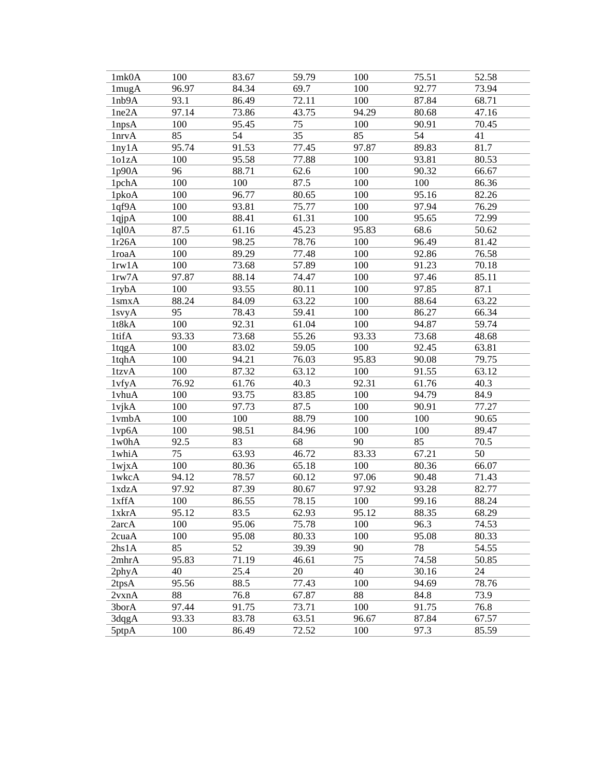| $1$ mk $0$ A | 100   | 83.67 | 59.79 | 100   | 75.51 | 52.58 |
|--------------|-------|-------|-------|-------|-------|-------|
| 1mugA        | 96.97 | 84.34 | 69.7  | 100   | 92.77 | 73.94 |
| 1nb9A        | 93.1  | 86.49 | 72.11 | 100   | 87.84 | 68.71 |
| 1ne2A        | 97.14 | 73.86 | 43.75 | 94.29 | 80.68 | 47.16 |
| 1npsA        | 100   | 95.45 | 75    | 100   | 90.91 | 70.45 |
| 1nrvA        | 85    | 54    | 35    | 85    | 54    | 41    |
| lny1A        | 95.74 | 91.53 | 77.45 | 97.87 | 89.83 | 81.7  |
| 1o1zA        | 100   | 95.58 | 77.88 | 100   | 93.81 | 80.53 |
| 1p90A        | 96    | 88.71 | 62.6  | 100   | 90.32 | 66.67 |
| 1pchA        | 100   | 100   | 87.5  | 100   | 100   | 86.36 |
| 1pkoA        | 100   | 96.77 | 80.65 | 100   | 95.16 | 82.26 |
| 1qf9A        | 100   | 93.81 | 75.77 | 100   | 97.94 | 76.29 |
| 1qjpA        | 100   | 88.41 | 61.31 | 100   | 95.65 | 72.99 |
| 1ql0A        | 87.5  | 61.16 | 45.23 | 95.83 | 68.6  | 50.62 |
| 1r26A        | 100   | 98.25 | 78.76 | 100   | 96.49 | 81.42 |
| 1roaA        | 100   | 89.29 | 77.48 | 100   | 92.86 | 76.58 |
| 1rw1A        | 100   | 73.68 | 57.89 | 100   | 91.23 | 70.18 |
| 1rw7A        | 97.87 | 88.14 | 74.47 | 100   | 97.46 | 85.11 |
| <b>lrybA</b> | 100   | 93.55 | 80.11 | 100   | 97.85 | 87.1  |
| 1smxA        | 88.24 | 84.09 | 63.22 | 100   | 88.64 | 63.22 |
| 1svyA        | 95    | 78.43 | 59.41 | 100   | 86.27 | 66.34 |
| 1t8kA        | 100   | 92.31 | 61.04 | 100   | 94.87 | 59.74 |
| 1tifA        | 93.33 | 73.68 | 55.26 | 93.33 | 73.68 | 48.68 |
| 1tqgA        | 100   | 83.02 | 59.05 | 100   | 92.45 | 63.81 |
| 1tqhA        | 100   | 94.21 | 76.03 | 95.83 | 90.08 | 79.75 |
| 1tzvA        | 100   | 87.32 | 63.12 | 100   | 91.55 | 63.12 |
| 1vfyA        | 76.92 | 61.76 | 40.3  | 92.31 | 61.76 | 40.3  |
| 1vhuA        | 100   | 93.75 | 83.85 | 100   | 94.79 | 84.9  |
| $1$ vjk $A$  | 100   | 97.73 | 87.5  | 100   | 90.91 | 77.27 |
| 1vmbA        | 100   | 100   | 88.79 | 100   | 100   | 90.65 |
| 1vp6A        | 100   | 98.51 | 84.96 | 100   | 100   | 89.47 |
| 1w0hA        | 92.5  | 83    | 68    | 90    | 85    | 70.5  |
| 1whiA        | 75    | 63.93 | 46.72 | 83.33 | 67.21 | 50    |
| $1$ wjx $A$  | 100   | 80.36 | 65.18 | 100   | 80.36 | 66.07 |
| 1wkcA        | 94.12 | 78.57 | 60.12 | 97.06 | 90.48 | 71.43 |
| 1xdzA        | 97.92 | 87.39 | 80.67 | 97.92 | 93.28 | 82.77 |
| 1xffA        | 100   | 86.55 | 78.15 | 100   | 99.16 | 88.24 |
| 1xkrA        | 95.12 | 83.5  | 62.93 | 95.12 | 88.35 | 68.29 |
| 2arcA        | 100   | 95.06 | 75.78 | 100   | 96.3  | 74.53 |
| 2cuaA        | 100   | 95.08 | 80.33 | 100   | 95.08 | 80.33 |
| 2hs1A        | 85    | 52    | 39.39 | 90    | 78    | 54.55 |
| 2mhrA        | 95.83 | 71.19 | 46.61 | 75    | 74.58 | 50.85 |
| 2phyA        | 40    | 25.4  | 20    | 40    | 30.16 | 24    |
| 2tpsA        | 95.56 | 88.5  | 77.43 | 100   | 94.69 | 78.76 |
| 2vxnA        | 88    | 76.8  | 67.87 | 88    | 84.8  | 73.9  |
| 3borA        | 97.44 | 91.75 | 73.71 | 100   | 91.75 | 76.8  |
| 3dqgA        | 93.33 | 83.78 | 63.51 | 96.67 | 87.84 | 67.57 |
|              |       |       |       |       | 97.3  |       |
| 5ptpA        | 100   | 86.49 | 72.52 | 100   |       | 85.59 |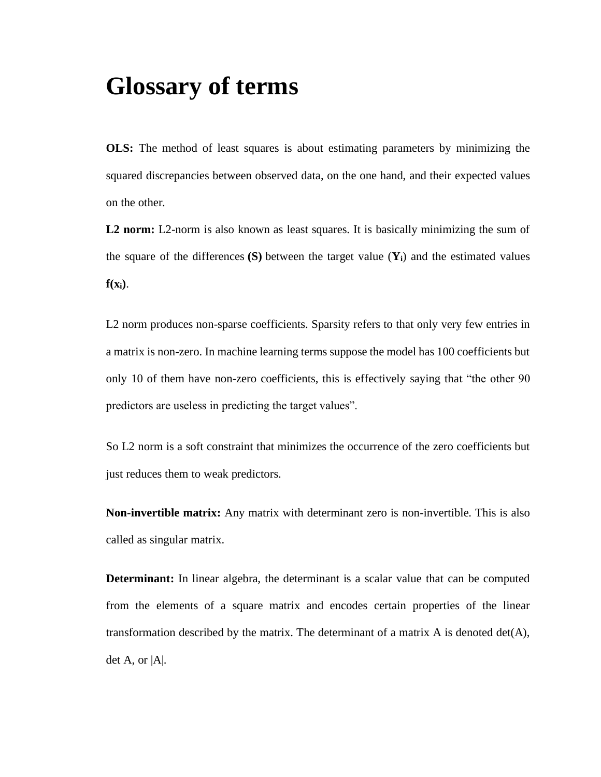## **Glossary of terms**

**OLS:** The method of least squares is about estimating parameters by minimizing the squared discrepancies between observed data, on the one hand, and their expected values on the other.

L2 norm: L2-norm is also known as least squares. It is basically minimizing the sum of the square of the differences **(S)** between the target value  $(Y_i)$  and the estimated values  $f(x_i)$ .

L2 norm produces non-sparse coefficients. Sparsity refers to that only very few entries in a matrix is non-zero. In machine learning terms suppose the model has 100 coefficients but only 10 of them have non-zero coefficients, this is effectively saying that "the other 90 predictors are useless in predicting the target values".

So L2 norm is a soft constraint that minimizes the occurrence of the zero coefficients but just reduces them to weak predictors.

**Non-invertible matrix:** Any matrix with determinant zero is non-invertible. This is also called as singular matrix.

**Determinant:** In linear algebra, the determinant is a scalar value that can be computed from the elements of a square matrix and encodes certain properties of the linear transformation described by the matrix. The determinant of a matrix A is denoted det(A), det A, or |A|.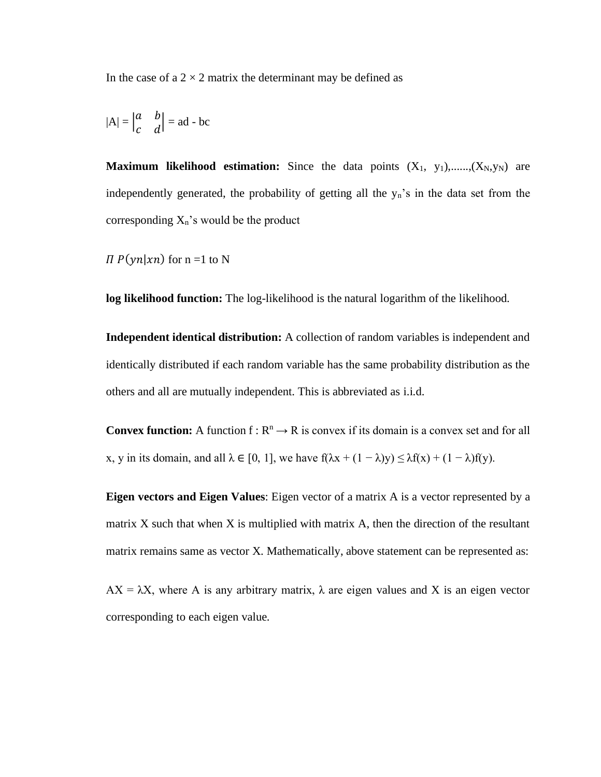In the case of a  $2 \times 2$  matrix the determinant may be defined as

$$
|A| = \begin{vmatrix} a & b \\ c & d \end{vmatrix} = ad - bc
$$

**Maximum likelihood estimation:** Since the data points  $(X_1, y_1), \ldots, (X_N, y_N)$  are independently generated, the probability of getting all the yn's in the data set from the corresponding  $X_n$ 's would be the product

$$
\Pi P(\gamma n | \chi n)
$$
 for  $n = 1$  to N

**log likelihood function:** The log-likelihood is the natural logarithm of the likelihood.

**Independent identical distribution:** A collection of random variables is independent and identically distributed if each random variable has the same probability distribution as the others and all are mutually independent. This is abbreviated as i.i.d.

**Convex function:** A function  $f : \mathbb{R}^n \to \mathbb{R}$  is convex if its domain is a convex set and for all x, y in its domain, and all  $\lambda \in [0, 1]$ , we have  $f(\lambda x + (1 - \lambda)y) \leq \lambda f(x) + (1 - \lambda)f(y)$ .

**Eigen vectors and Eigen Values**: Eigen vector of a matrix A is a vector represented by a matrix X such that when X is multiplied with matrix A, then the direction of the resultant matrix remains same as vector X. Mathematically, above statement can be represented as:

 $AX = \lambda X$ , where A is any arbitrary matrix,  $\lambda$  are eigen values and X is an eigen vector corresponding to each eigen value.